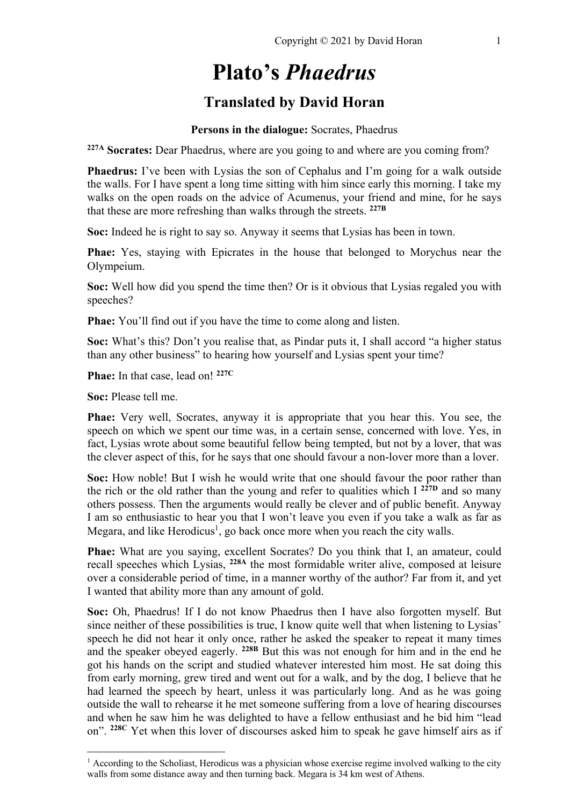# **Plato's** *Phaedrus*

# **Translated by David Horan**

#### **Persons in the dialogue:** Socrates, Phaedrus

**227A Socrates:** Dear Phaedrus, where are you going to and where are you coming from?

**Phaedrus:** I've been with Lysias the son of Cephalus and I'm going for a walk outside the walls. For I have spent a long time sitting with him since early this morning. I take my walks on the open roads on the advice of Acumenus, your friend and mine, for he says that these are more refreshing than walks through the streets. **227B**

**Soc:** Indeed he is right to say so. Anyway it seems that Lysias has been in town.

**Phae:** Yes, staying with Epicrates in the house that belonged to Morychus near the Olympeium.

**Soc:** Well how did you spend the time then? Or is it obvious that Lysias regaled you with speeches?

**Phae:** You'll find out if you have the time to come along and listen.

**Soc:** What's this? Don't you realise that, as Pindar puts it, I shall accord "a higher status than any other business" to hearing how yourself and Lysias spent your time?

**Phae:** In that case, lead on! **227C**

**Soc:** Please tell me.

**Phae:** Very well, Socrates, anyway it is appropriate that you hear this. You see, the speech on which we spent our time was, in a certain sense, concerned with love. Yes, in fact, Lysias wrote about some beautiful fellow being tempted, but not by a lover, that was the clever aspect of this, for he says that one should favour a non-lover more than a lover.

**Soc:** How noble! But I wish he would write that one should favour the poor rather than the rich or the old rather than the young and refer to qualities which I **227D** and so many others possess. Then the arguments would really be clever and of public benefit. Anyway I am so enthusiastic to hear you that I won't leave you even if you take a walk as far as Megara, and like Herodicus<sup>1</sup>, go back once more when you reach the city walls.

**Phae:** What are you saying, excellent Socrates? Do you think that I, an amateur, could recall speeches which Lysias, **228A** the most formidable writer alive, composed at leisure over a considerable period of time, in a manner worthy of the author? Far from it, and yet I wanted that ability more than any amount of gold.

**Soc:** Oh, Phaedrus! If I do not know Phaedrus then I have also forgotten myself. But since neither of these possibilities is true, I know quite well that when listening to Lysias' speech he did not hear it only once, rather he asked the speaker to repeat it many times and the speaker obeyed eagerly. **228B** But this was not enough for him and in the end he got his hands on the script and studied whatever interested him most. He sat doing this from early morning, grew tired and went out for a walk, and by the dog, I believe that he had learned the speech by heart, unless it was particularly long. And as he was going outside the wall to rehearse it he met someone suffering from a love of hearing discourses and when he saw him he was delighted to have a fellow enthusiast and he bid him "lead on". **228C** Yet when this lover of discourses asked him to speak he gave himself airs as if

 $<sup>1</sup>$  According to the Scholiast, Herodicus was a physician whose exercise regime involved walking to the city</sup> walls from some distance away and then turning back. Megara is 34 km west of Athens.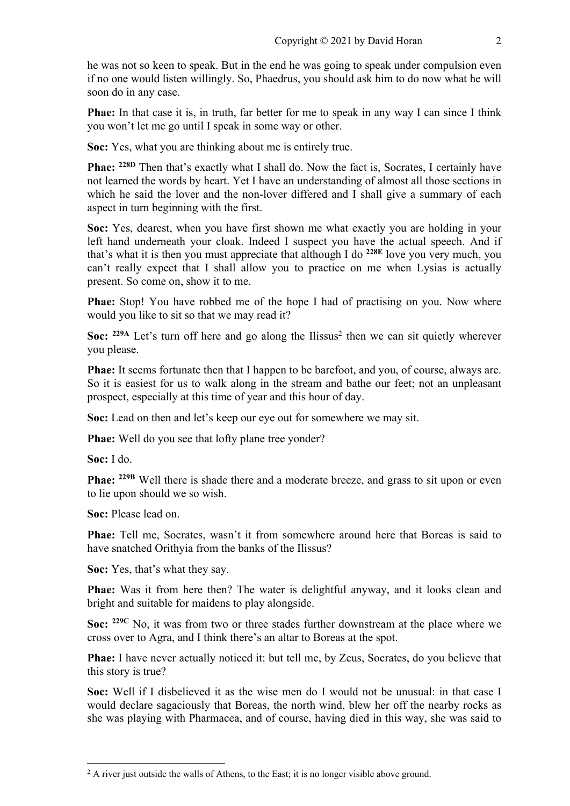he was not so keen to speak. But in the end he was going to speak under compulsion even if no one would listen willingly. So, Phaedrus, you should ask him to do now what he will soon do in any case.

**Phae:** In that case it is, in truth, far better for me to speak in any way I can since I think you won't let me go until I speak in some way or other.

**Soc:** Yes, what you are thinking about me is entirely true.

**Phae:** <sup>228D</sup> Then that's exactly what I shall do. Now the fact is, Socrates, I certainly have not learned the words by heart. Yet I have an understanding of almost all those sections in which he said the lover and the non-lover differed and I shall give a summary of each aspect in turn beginning with the first.

**Soc:** Yes, dearest, when you have first shown me what exactly you are holding in your left hand underneath your cloak. Indeed I suspect you have the actual speech. And if that's what it is then you must appreciate that although I do **228E** love you very much, you can't really expect that I shall allow you to practice on me when Lysias is actually present. So come on, show it to me.

**Phae:** Stop! You have robbed me of the hope I had of practising on you. Now where would you like to sit so that we may read it?

**Soc:**  $229A$  Let's turn off here and go along the Ilissus<sup>2</sup> then we can sit quietly wherever you please.

**Phae:** It seems fortunate then that I happen to be barefoot, and you, of course, always are. So it is easiest for us to walk along in the stream and bathe our feet; not an unpleasant prospect, especially at this time of year and this hour of day.

**Soc:** Lead on then and let's keep our eye out for somewhere we may sit.

**Phae:** Well do you see that lofty plane tree yonder?

**Soc:** I do.

**Phae:** <sup>229B</sup> Well there is shade there and a moderate breeze, and grass to sit upon or even to lie upon should we so wish.

**Soc:** Please lead on.

**Phae:** Tell me, Socrates, wasn't it from somewhere around here that Boreas is said to have snatched Orithyia from the banks of the Ilissus?

**Soc:** Yes, that's what they say.

**Phae:** Was it from here then? The water is delightful anyway, and it looks clean and bright and suitable for maidens to play alongside.

**Soc: 229C** No, it was from two or three stades further downstream at the place where we cross over to Agra, and I think there's an altar to Boreas at the spot.

**Phae:** I have never actually noticed it: but tell me, by Zeus, Socrates, do you believe that this story is true?

**Soc:** Well if I disbelieved it as the wise men do I would not be unusual: in that case I would declare sagaciously that Boreas, the north wind, blew her off the nearby rocks as she was playing with Pharmacea, and of course, having died in this way, she was said to

 $<sup>2</sup>$  A river just outside the walls of Athens, to the East; it is no longer visible above ground.</sup>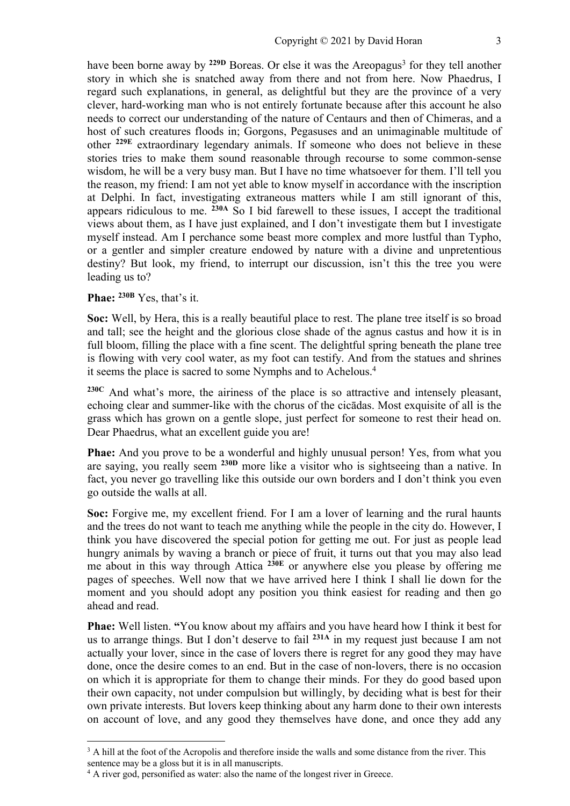have been borne away by <sup>229D</sup> Boreas. Or else it was the Areopagus<sup>3</sup> for they tell another story in which she is snatched away from there and not from here. Now Phaedrus, I regard such explanations, in general, as delightful but they are the province of a very clever, hard-working man who is not entirely fortunate because after this account he also needs to correct our understanding of the nature of Centaurs and then of Chimeras, and a host of such creatures floods in; Gorgons, Pegasuses and an unimaginable multitude of other **229E** extraordinary legendary animals. If someone who does not believe in these stories tries to make them sound reasonable through recourse to some common-sense wisdom, he will be a very busy man. But I have no time whatsoever for them. I'll tell you the reason, my friend: I am not yet able to know myself in accordance with the inscription at Delphi. In fact, investigating extraneous matters while I am still ignorant of this, appears ridiculous to me. **230A** So I bid farewell to these issues, I accept the traditional views about them, as I have just explained, and I don't investigate them but I investigate myself instead. Am I perchance some beast more complex and more lustful than Typho, or a gentler and simpler creature endowed by nature with a divine and unpretentious destiny? But look, my friend, to interrupt our discussion, isn't this the tree you were leading us to?

#### **Phae: 230B** Yes, that's it.

**Soc:** Well, by Hera, this is a really beautiful place to rest. The plane tree itself is so broad and tall; see the height and the glorious close shade of the agnus castus and how it is in full bloom, filling the place with a fine scent. The delightful spring beneath the plane tree is flowing with very cool water, as my foot can testify. And from the statues and shrines it seems the place is sacred to some Nymphs and to Achelous.4

**230C** And what's more, the airiness of the place is so attractive and intensely pleasant, echoing clear and summer-like with the chorus of the cicādas. Most exquisite of all is the grass which has grown on a gentle slope, just perfect for someone to rest their head on. Dear Phaedrus, what an excellent guide you are!

**Phae:** And you prove to be a wonderful and highly unusual person! Yes, from what you are saying, you really seem **230D** more like a visitor who is sightseeing than a native. In fact, you never go travelling like this outside our own borders and I don't think you even go outside the walls at all.

**Soc:** Forgive me, my excellent friend. For I am a lover of learning and the rural haunts and the trees do not want to teach me anything while the people in the city do. However, I think you have discovered the special potion for getting me out. For just as people lead hungry animals by waving a branch or piece of fruit, it turns out that you may also lead me about in this way through Attica **230E** or anywhere else you please by offering me pages of speeches. Well now that we have arrived here I think I shall lie down for the moment and you should adopt any position you think easiest for reading and then go ahead and read.

**Phae:** Well listen. **"**You know about my affairs and you have heard how I think it best for us to arrange things. But I don't deserve to fail **231A** in my request just because I am not actually your lover, since in the case of lovers there is regret for any good they may have done, once the desire comes to an end. But in the case of non-lovers, there is no occasion on which it is appropriate for them to change their minds. For they do good based upon their own capacity, not under compulsion but willingly, by deciding what is best for their own private interests. But lovers keep thinking about any harm done to their own interests on account of love, and any good they themselves have done, and once they add any

 $3$  A hill at the foot of the Acropolis and therefore inside the walls and some distance from the river. This sentence may be a gloss but it is in all manuscripts.

<sup>&</sup>lt;sup>4</sup> A river god, personified as water: also the name of the longest river in Greece.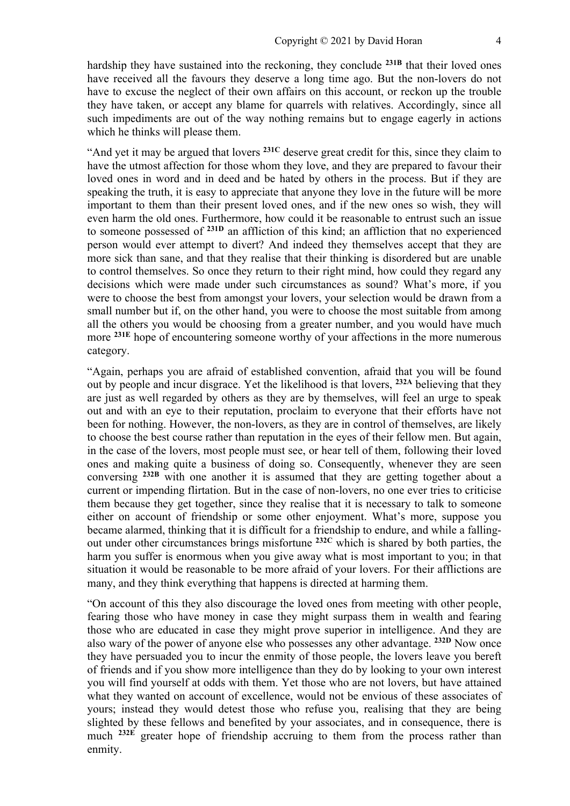hardship they have sustained into the reckoning, they conclude **231B** that their loved ones have received all the favours they deserve a long time ago. But the non-lovers do not have to excuse the neglect of their own affairs on this account, or reckon up the trouble they have taken, or accept any blame for quarrels with relatives. Accordingly, since all such impediments are out of the way nothing remains but to engage eagerly in actions which he thinks will please them.

"And yet it may be argued that lovers **231C** deserve great credit for this, since they claim to have the utmost affection for those whom they love, and they are prepared to favour their loved ones in word and in deed and be hated by others in the process. But if they are speaking the truth, it is easy to appreciate that anyone they love in the future will be more important to them than their present loved ones, and if the new ones so wish, they will even harm the old ones. Furthermore, how could it be reasonable to entrust such an issue to someone possessed of **231D** an affliction of this kind; an affliction that no experienced person would ever attempt to divert? And indeed they themselves accept that they are more sick than sane, and that they realise that their thinking is disordered but are unable to control themselves. So once they return to their right mind, how could they regard any decisions which were made under such circumstances as sound? What's more, if you were to choose the best from amongst your lovers, your selection would be drawn from a small number but if, on the other hand, you were to choose the most suitable from among all the others you would be choosing from a greater number, and you would have much more **231E** hope of encountering someone worthy of your affections in the more numerous category.

"Again, perhaps you are afraid of established convention, afraid that you will be found out by people and incur disgrace. Yet the likelihood is that lovers, **232A** believing that they are just as well regarded by others as they are by themselves, will feel an urge to speak out and with an eye to their reputation, proclaim to everyone that their efforts have not been for nothing. However, the non-lovers, as they are in control of themselves, are likely to choose the best course rather than reputation in the eyes of their fellow men. But again, in the case of the lovers, most people must see, or hear tell of them, following their loved ones and making quite a business of doing so. Consequently, whenever they are seen conversing **232B** with one another it is assumed that they are getting together about a current or impending flirtation. But in the case of non-lovers, no one ever tries to criticise them because they get together, since they realise that it is necessary to talk to someone either on account of friendship or some other enjoyment. What's more, suppose you became alarmed, thinking that it is difficult for a friendship to endure, and while a fallingout under other circumstances brings misfortune **232C** which is shared by both parties, the harm you suffer is enormous when you give away what is most important to you; in that situation it would be reasonable to be more afraid of your lovers. For their afflictions are many, and they think everything that happens is directed at harming them.

"On account of this they also discourage the loved ones from meeting with other people, fearing those who have money in case they might surpass them in wealth and fearing those who are educated in case they might prove superior in intelligence. And they are also wary of the power of anyone else who possesses any other advantage. **232D** Now once they have persuaded you to incur the enmity of those people, the lovers leave you bereft of friends and if you show more intelligence than they do by looking to your own interest you will find yourself at odds with them. Yet those who are not lovers, but have attained what they wanted on account of excellence, would not be envious of these associates of yours; instead they would detest those who refuse you, realising that they are being slighted by these fellows and benefited by your associates, and in consequence, there is much **232E** greater hope of friendship accruing to them from the process rather than enmity.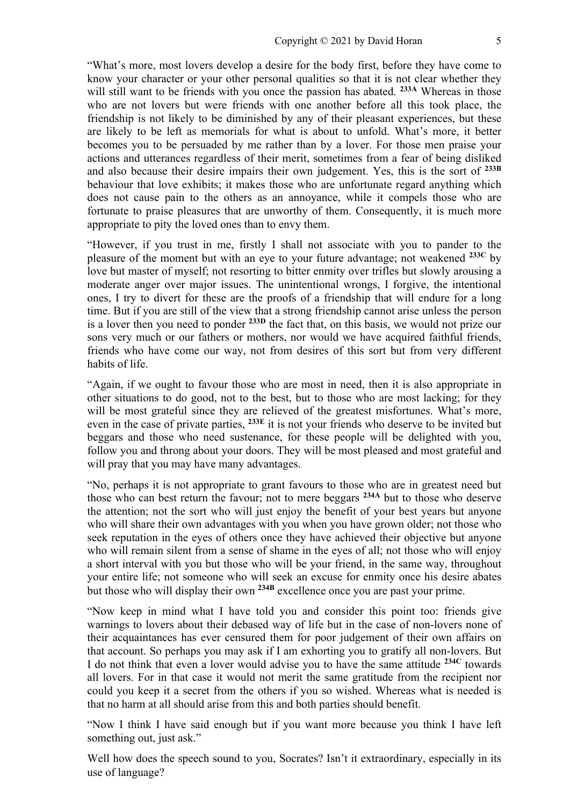"What's more, most lovers develop a desire for the body first, before they have come to know your character or your other personal qualities so that it is not clear whether they will still want to be friends with you once the passion has abated. **233A** Whereas in those who are not lovers but were friends with one another before all this took place, the friendship is not likely to be diminished by any of their pleasant experiences, but these are likely to be left as memorials for what is about to unfold. What's more, it better becomes you to be persuaded by me rather than by a lover. For those men praise your actions and utterances regardless of their merit, sometimes from a fear of being disliked and also because their desire impairs their own judgement. Yes, this is the sort of **233B** behaviour that love exhibits; it makes those who are unfortunate regard anything which does not cause pain to the others as an annoyance, while it compels those who are fortunate to praise pleasures that are unworthy of them. Consequently, it is much more appropriate to pity the loved ones than to envy them.

"However, if you trust in me, firstly I shall not associate with you to pander to the pleasure of the moment but with an eye to your future advantage; not weakened **233C** by love but master of myself; not resorting to bitter enmity over trifles but slowly arousing a moderate anger over major issues. The unintentional wrongs, I forgive, the intentional ones, I try to divert for these are the proofs of a friendship that will endure for a long time. But if you are still of the view that a strong friendship cannot arise unless the person is a lover then you need to ponder **233D** the fact that, on this basis, we would not prize our sons very much or our fathers or mothers, nor would we have acquired faithful friends, friends who have come our way, not from desires of this sort but from very different habits of life.

"Again, if we ought to favour those who are most in need, then it is also appropriate in other situations to do good, not to the best, but to those who are most lacking; for they will be most grateful since they are relieved of the greatest misfortunes. What's more, even in the case of private parties, **233E** it is not your friends who deserve to be invited but beggars and those who need sustenance, for these people will be delighted with you, follow you and throng about your doors. They will be most pleased and most grateful and will pray that you may have many advantages.

"No, perhaps it is not appropriate to grant favours to those who are in greatest need but those who can best return the favour; not to mere beggars **234A** but to those who deserve the attention; not the sort who will just enjoy the benefit of your best years but anyone who will share their own advantages with you when you have grown older; not those who seek reputation in the eyes of others once they have achieved their objective but anyone who will remain silent from a sense of shame in the eyes of all; not those who will enjoy a short interval with you but those who will be your friend, in the same way, throughout your entire life; not someone who will seek an excuse for enmity once his desire abates but those who will display their own **234B** excellence once you are past your prime.

"Now keep in mind what I have told you and consider this point too: friends give warnings to lovers about their debased way of life but in the case of non-lovers none of their acquaintances has ever censured them for poor judgement of their own affairs on that account. So perhaps you may ask if I am exhorting you to gratify all non-lovers. But I do not think that even a lover would advise you to have the same attitude **234C** towards all lovers. For in that case it would not merit the same gratitude from the recipient nor could you keep it a secret from the others if you so wished. Whereas what is needed is that no harm at all should arise from this and both parties should benefit.

"Now I think I have said enough but if you want more because you think I have left something out, just ask."

Well how does the speech sound to you, Socrates? Isn't it extraordinary, especially in its use of language?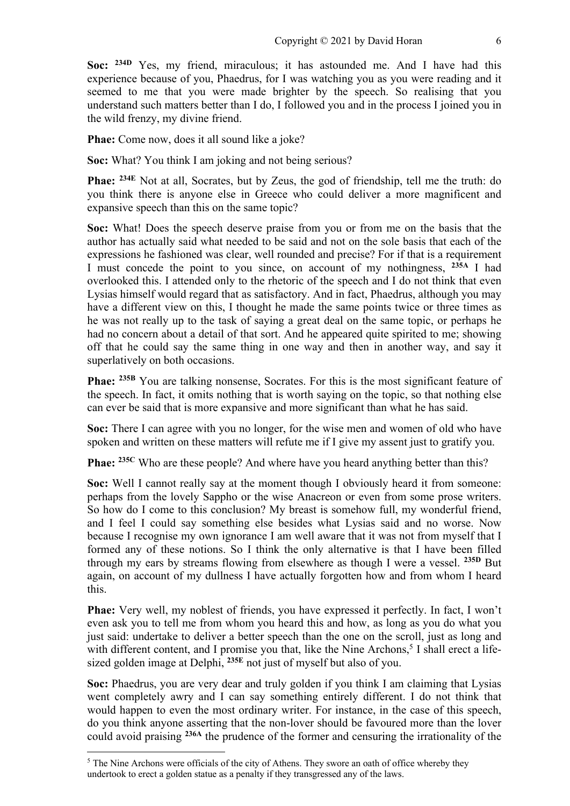Soc: <sup>234D</sup> Yes, my friend, miraculous; it has astounded me. And I have had this experience because of you, Phaedrus, for I was watching you as you were reading and it seemed to me that you were made brighter by the speech. So realising that you understand such matters better than I do, I followed you and in the process I joined you in the wild frenzy, my divine friend.

**Phae:** Come now, does it all sound like a joke?

**Soc:** What? You think I am joking and not being serious?

**Phae: 234E** Not at all, Socrates, but by Zeus, the god of friendship, tell me the truth: do you think there is anyone else in Greece who could deliver a more magnificent and expansive speech than this on the same topic?

**Soc:** What! Does the speech deserve praise from you or from me on the basis that the author has actually said what needed to be said and not on the sole basis that each of the expressions he fashioned was clear, well rounded and precise? For if that is a requirement I must concede the point to you since, on account of my nothingness, **235A** I had overlooked this. I attended only to the rhetoric of the speech and I do not think that even Lysias himself would regard that as satisfactory. And in fact, Phaedrus, although you may have a different view on this, I thought he made the same points twice or three times as he was not really up to the task of saying a great deal on the same topic, or perhaps he had no concern about a detail of that sort. And he appeared quite spirited to me; showing off that he could say the same thing in one way and then in another way, and say it superlatively on both occasions.

**Phae: 235B** You are talking nonsense, Socrates. For this is the most significant feature of the speech. In fact, it omits nothing that is worth saying on the topic, so that nothing else can ever be said that is more expansive and more significant than what he has said.

**Soc:** There I can agree with you no longer, for the wise men and women of old who have spoken and written on these matters will refute me if I give my assent just to gratify you.

**Phae:** <sup>235C</sup> Who are these people? And where have you heard anything better than this?

**Soc:** Well I cannot really say at the moment though I obviously heard it from someone: perhaps from the lovely Sappho or the wise Anacreon or even from some prose writers. So how do I come to this conclusion? My breast is somehow full, my wonderful friend, and I feel I could say something else besides what Lysias said and no worse. Now because I recognise my own ignorance I am well aware that it was not from myself that I formed any of these notions. So I think the only alternative is that I have been filled through my ears by streams flowing from elsewhere as though I were a vessel. **235D** But again, on account of my dullness I have actually forgotten how and from whom I heard this.

**Phae:** Very well, my noblest of friends, you have expressed it perfectly. In fact, I won't even ask you to tell me from whom you heard this and how, as long as you do what you just said: undertake to deliver a better speech than the one on the scroll, just as long and with different content, and I promise you that, like the Nine Archons,<sup>5</sup> I shall erect a lifesized golden image at Delphi, **235E** not just of myself but also of you.

**Soc:** Phaedrus, you are very dear and truly golden if you think I am claiming that Lysias went completely awry and I can say something entirely different. I do not think that would happen to even the most ordinary writer. For instance, in the case of this speech, do you think anyone asserting that the non-lover should be favoured more than the lover could avoid praising **236A** the prudence of the former and censuring the irrationality of the

<sup>&</sup>lt;sup>5</sup> The Nine Archons were officials of the city of Athens. They swore an oath of office whereby they undertook to erect a golden statue as a penalty if they transgressed any of the laws.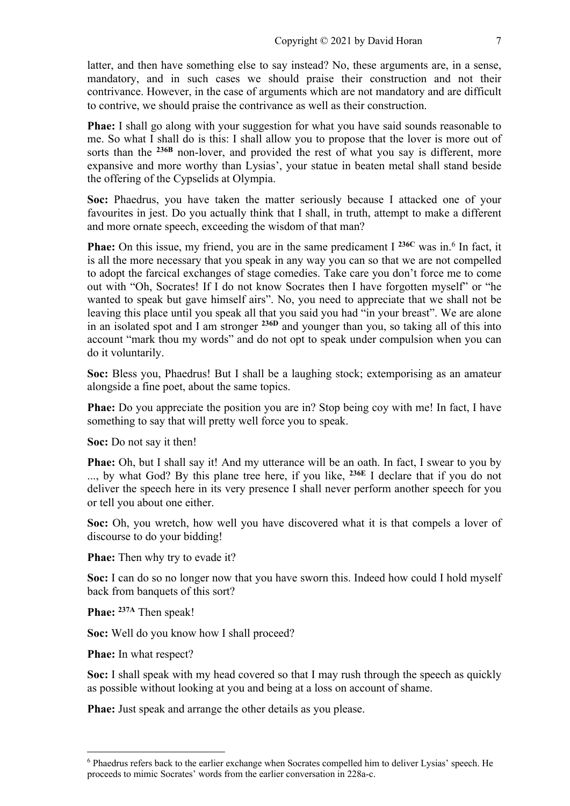latter, and then have something else to say instead? No, these arguments are, in a sense, mandatory, and in such cases we should praise their construction and not their contrivance. However, in the case of arguments which are not mandatory and are difficult to contrive, we should praise the contrivance as well as their construction.

**Phae:** I shall go along with your suggestion for what you have said sounds reasonable to me. So what I shall do is this: I shall allow you to propose that the lover is more out of sorts than the <sup>236B</sup> non-lover, and provided the rest of what you say is different, more expansive and more worthy than Lysias', your statue in beaten metal shall stand beside the offering of the Cypselids at Olympia.

**Soc:** Phaedrus, you have taken the matter seriously because I attacked one of your favourites in jest. Do you actually think that I shall, in truth, attempt to make a different and more ornate speech, exceeding the wisdom of that man?

**Phae:** On this issue, my friend, you are in the same predicament I <sup>236C</sup> was in.<sup>6</sup> In fact, it is all the more necessary that you speak in any way you can so that we are not compelled to adopt the farcical exchanges of stage comedies. Take care you don't force me to come out with "Oh, Socrates! If I do not know Socrates then I have forgotten myself" or "he wanted to speak but gave himself airs". No, you need to appreciate that we shall not be leaving this place until you speak all that you said you had "in your breast". We are alone in an isolated spot and I am stronger **236D** and younger than you, so taking all of this into account "mark thou my words" and do not opt to speak under compulsion when you can do it voluntarily.

**Soc:** Bless you, Phaedrus! But I shall be a laughing stock; extemporising as an amateur alongside a fine poet, about the same topics.

**Phae:** Do you appreciate the position you are in? Stop being coy with me! In fact, I have something to say that will pretty well force you to speak.

**Soc:** Do not say it then!

**Phae:** Oh, but I shall say it! And my utterance will be an oath. In fact, I swear to you by ..., by what God? By this plane tree here, if you like, **236E** I declare that if you do not deliver the speech here in its very presence I shall never perform another speech for you or tell you about one either.

**Soc:** Oh, you wretch, how well you have discovered what it is that compels a lover of discourse to do your bidding!

**Phae:** Then why try to evade it?

**Soc:** I can do so no longer now that you have sworn this. Indeed how could I hold myself back from banquets of this sort?

**Phae: 237A** Then speak!

**Soc:** Well do you know how I shall proceed?

**Phae:** In what respect?

**Soc:** I shall speak with my head covered so that I may rush through the speech as quickly as possible without looking at you and being at a loss on account of shame.

**Phae:** Just speak and arrange the other details as you please.

<sup>6</sup> Phaedrus refers back to the earlier exchange when Socrates compelled him to deliver Lysias' speech. He proceeds to mimic Socrates' words from the earlier conversation in 228a-c.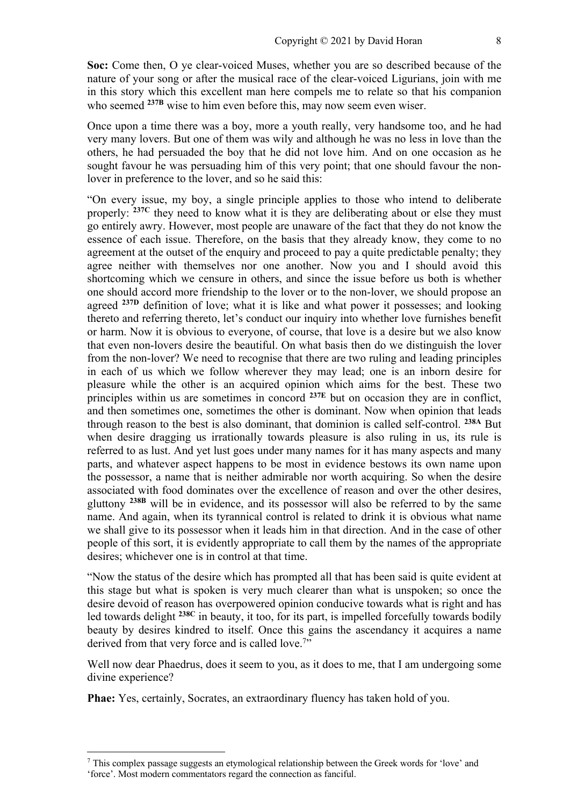**Soc:** Come then, O ye clear-voiced Muses, whether you are so described because of the nature of your song or after the musical race of the clear-voiced Ligurians, join with me in this story which this excellent man here compels me to relate so that his companion who seemed <sup>237B</sup> wise to him even before this, may now seem even wiser.

Once upon a time there was a boy, more a youth really, very handsome too, and he had very many lovers. But one of them was wily and although he was no less in love than the others, he had persuaded the boy that he did not love him. And on one occasion as he sought favour he was persuading him of this very point; that one should favour the nonlover in preference to the lover, and so he said this:

"On every issue, my boy, a single principle applies to those who intend to deliberate properly: **237C** they need to know what it is they are deliberating about or else they must go entirely awry. However, most people are unaware of the fact that they do not know the essence of each issue. Therefore, on the basis that they already know, they come to no agreement at the outset of the enquiry and proceed to pay a quite predictable penalty; they agree neither with themselves nor one another. Now you and I should avoid this shortcoming which we censure in others, and since the issue before us both is whether one should accord more friendship to the lover or to the non-lover, we should propose an agreed <sup>237D</sup> definition of love; what it is like and what power it possesses; and looking thereto and referring thereto, let's conduct our inquiry into whether love furnishes benefit or harm. Now it is obvious to everyone, of course, that love is a desire but we also know that even non-lovers desire the beautiful. On what basis then do we distinguish the lover from the non-lover? We need to recognise that there are two ruling and leading principles in each of us which we follow wherever they may lead; one is an inborn desire for pleasure while the other is an acquired opinion which aims for the best. These two principles within us are sometimes in concord **237E** but on occasion they are in conflict, and then sometimes one, sometimes the other is dominant. Now when opinion that leads through reason to the best is also dominant, that dominion is called self-control. **238A** But when desire dragging us irrationally towards pleasure is also ruling in us, its rule is referred to as lust. And yet lust goes under many names for it has many aspects and many parts, and whatever aspect happens to be most in evidence bestows its own name upon the possessor, a name that is neither admirable nor worth acquiring. So when the desire associated with food dominates over the excellence of reason and over the other desires, gluttony **238B** will be in evidence, and its possessor will also be referred to by the same name. And again, when its tyrannical control is related to drink it is obvious what name we shall give to its possessor when it leads him in that direction. And in the case of other people of this sort, it is evidently appropriate to call them by the names of the appropriate desires; whichever one is in control at that time.

"Now the status of the desire which has prompted all that has been said is quite evident at this stage but what is spoken is very much clearer than what is unspoken; so once the desire devoid of reason has overpowered opinion conducive towards what is right and has led towards delight **238C** in beauty, it too, for its part, is impelled forcefully towards bodily beauty by desires kindred to itself. Once this gains the ascendancy it acquires a name derived from that very force and is called love.<sup>7</sup>"

Well now dear Phaedrus, does it seem to you, as it does to me, that I am undergoing some divine experience?

**Phae:** Yes, certainly, Socrates, an extraordinary fluency has taken hold of you.

 $<sup>7</sup>$  This complex passage suggests an etymological relationship between the Greek words for 'love' and</sup> 'force'. Most modern commentators regard the connection as fanciful.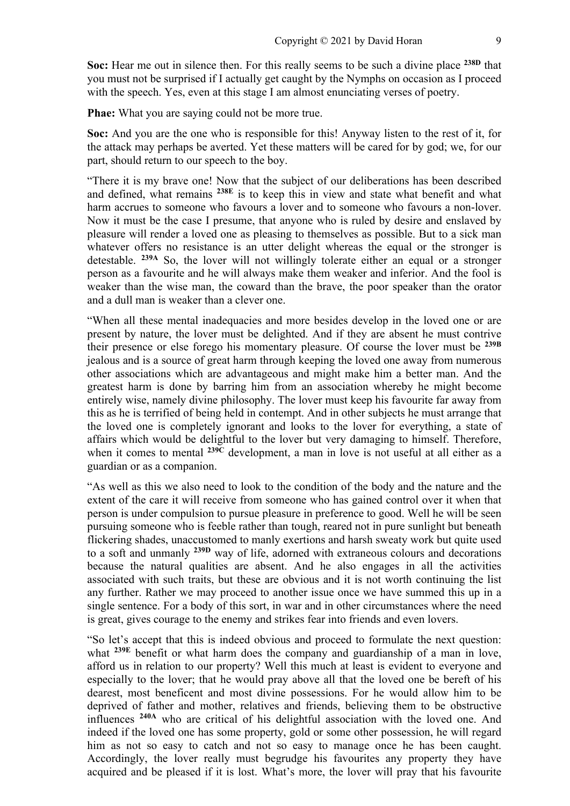**Soc:** Hear me out in silence then. For this really seems to be such a divine place **238D** that you must not be surprised if I actually get caught by the Nymphs on occasion as I proceed with the speech. Yes, even at this stage I am almost enunciating verses of poetry.

**Phae:** What you are saying could not be more true.

**Soc:** And you are the one who is responsible for this! Anyway listen to the rest of it, for the attack may perhaps be averted. Yet these matters will be cared for by god; we, for our part, should return to our speech to the boy.

"There it is my brave one! Now that the subject of our deliberations has been described and defined, what remains **238E** is to keep this in view and state what benefit and what harm accrues to someone who favours a lover and to someone who favours a non-lover. Now it must be the case I presume, that anyone who is ruled by desire and enslaved by pleasure will render a loved one as pleasing to themselves as possible. But to a sick man whatever offers no resistance is an utter delight whereas the equal or the stronger is detestable. **239A** So, the lover will not willingly tolerate either an equal or a stronger person as a favourite and he will always make them weaker and inferior. And the fool is weaker than the wise man, the coward than the brave, the poor speaker than the orator and a dull man is weaker than a clever one.

"When all these mental inadequacies and more besides develop in the loved one or are present by nature, the lover must be delighted. And if they are absent he must contrive their presence or else forego his momentary pleasure. Of course the lover must be **239B** jealous and is a source of great harm through keeping the loved one away from numerous other associations which are advantageous and might make him a better man. And the greatest harm is done by barring him from an association whereby he might become entirely wise, namely divine philosophy. The lover must keep his favourite far away from this as he is terrified of being held in contempt. And in other subjects he must arrange that the loved one is completely ignorant and looks to the lover for everything, a state of affairs which would be delightful to the lover but very damaging to himself. Therefore, when it comes to mental **239C** development, a man in love is not useful at all either as a guardian or as a companion.

"As well as this we also need to look to the condition of the body and the nature and the extent of the care it will receive from someone who has gained control over it when that person is under compulsion to pursue pleasure in preference to good. Well he will be seen pursuing someone who is feeble rather than tough, reared not in pure sunlight but beneath flickering shades, unaccustomed to manly exertions and harsh sweaty work but quite used to a soft and unmanly **239D** way of life, adorned with extraneous colours and decorations because the natural qualities are absent. And he also engages in all the activities associated with such traits, but these are obvious and it is not worth continuing the list any further. Rather we may proceed to another issue once we have summed this up in a single sentence. For a body of this sort, in war and in other circumstances where the need is great, gives courage to the enemy and strikes fear into friends and even lovers.

"So let's accept that this is indeed obvious and proceed to formulate the next question: what **239E** benefit or what harm does the company and guardianship of a man in love, afford us in relation to our property? Well this much at least is evident to everyone and especially to the lover; that he would pray above all that the loved one be bereft of his dearest, most beneficent and most divine possessions. For he would allow him to be deprived of father and mother, relatives and friends, believing them to be obstructive influences **240A** who are critical of his delightful association with the loved one. And indeed if the loved one has some property, gold or some other possession, he will regard him as not so easy to catch and not so easy to manage once he has been caught. Accordingly, the lover really must begrudge his favourites any property they have acquired and be pleased if it is lost. What's more, the lover will pray that his favourite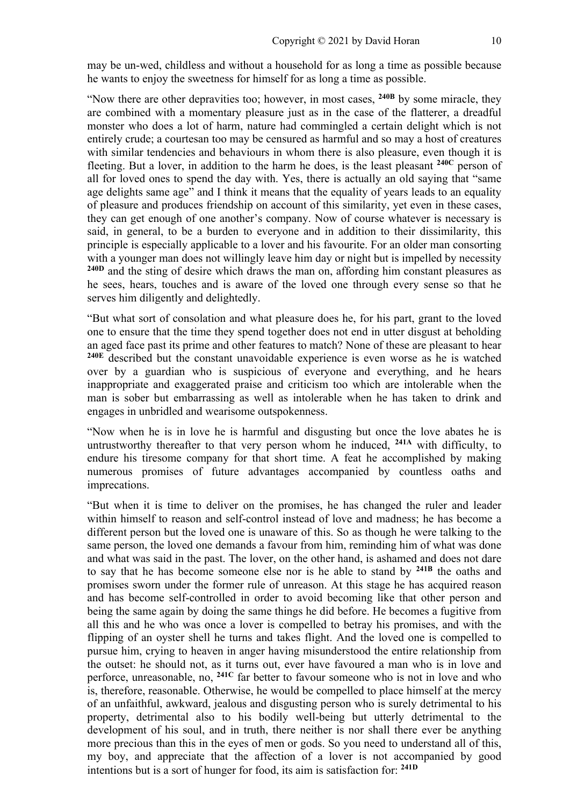may be un-wed, childless and without a household for as long a time as possible because he wants to enjoy the sweetness for himself for as long a time as possible.

"Now there are other depravities too; however, in most cases, **240B** by some miracle, they are combined with a momentary pleasure just as in the case of the flatterer, a dreadful monster who does a lot of harm, nature had commingled a certain delight which is not entirely crude; a courtesan too may be censured as harmful and so may a host of creatures with similar tendencies and behaviours in whom there is also pleasure, even though it is fleeting. But a lover, in addition to the harm he does, is the least pleasant **240C** person of all for loved ones to spend the day with. Yes, there is actually an old saying that "same age delights same age" and I think it means that the equality of years leads to an equality of pleasure and produces friendship on account of this similarity, yet even in these cases, they can get enough of one another's company. Now of course whatever is necessary is said, in general, to be a burden to everyone and in addition to their dissimilarity, this principle is especially applicable to a lover and his favourite. For an older man consorting with a younger man does not willingly leave him day or night but is impelled by necessity **240D** and the sting of desire which draws the man on, affording him constant pleasures as he sees, hears, touches and is aware of the loved one through every sense so that he serves him diligently and delightedly.

"But what sort of consolation and what pleasure does he, for his part, grant to the loved one to ensure that the time they spend together does not end in utter disgust at beholding an aged face past its prime and other features to match? None of these are pleasant to hear **240E** described but the constant unavoidable experience is even worse as he is watched over by a guardian who is suspicious of everyone and everything, and he hears inappropriate and exaggerated praise and criticism too which are intolerable when the man is sober but embarrassing as well as intolerable when he has taken to drink and engages in unbridled and wearisome outspokenness.

"Now when he is in love he is harmful and disgusting but once the love abates he is untrustworthy thereafter to that very person whom he induced, **241A** with difficulty, to endure his tiresome company for that short time. A feat he accomplished by making numerous promises of future advantages accompanied by countless oaths and imprecations.

"But when it is time to deliver on the promises, he has changed the ruler and leader within himself to reason and self-control instead of love and madness; he has become a different person but the loved one is unaware of this. So as though he were talking to the same person, the loved one demands a favour from him, reminding him of what was done and what was said in the past. The lover, on the other hand, is ashamed and does not dare to say that he has become someone else nor is he able to stand by **241B** the oaths and promises sworn under the former rule of unreason. At this stage he has acquired reason and has become self-controlled in order to avoid becoming like that other person and being the same again by doing the same things he did before. He becomes a fugitive from all this and he who was once a lover is compelled to betray his promises, and with the flipping of an oyster shell he turns and takes flight. And the loved one is compelled to pursue him, crying to heaven in anger having misunderstood the entire relationship from the outset: he should not, as it turns out, ever have favoured a man who is in love and perforce, unreasonable, no, **241C** far better to favour someone who is not in love and who is, therefore, reasonable. Otherwise, he would be compelled to place himself at the mercy of an unfaithful, awkward, jealous and disgusting person who is surely detrimental to his property, detrimental also to his bodily well-being but utterly detrimental to the development of his soul, and in truth, there neither is nor shall there ever be anything more precious than this in the eyes of men or gods. So you need to understand all of this, my boy, and appreciate that the affection of a lover is not accompanied by good intentions but is a sort of hunger for food, its aim is satisfaction for: **241D**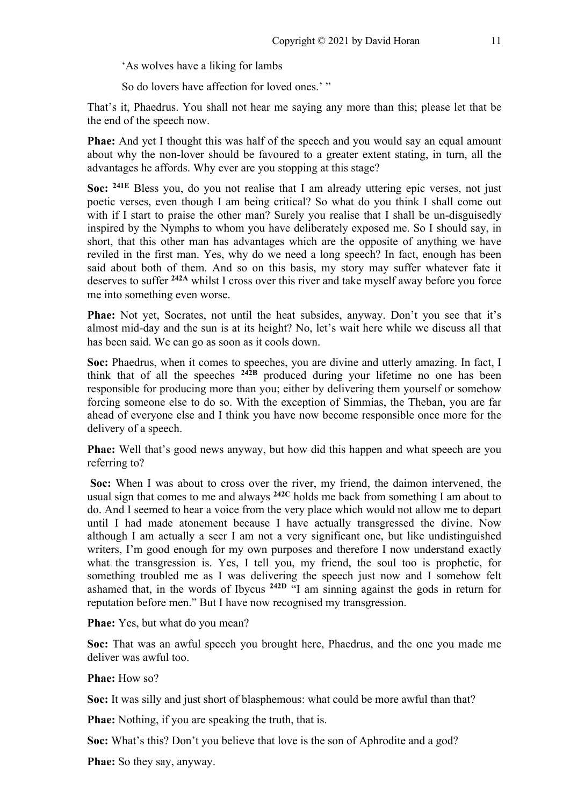'As wolves have a liking for lambs

So do lovers have affection for loved ones.' "

That's it, Phaedrus. You shall not hear me saying any more than this; please let that be the end of the speech now.

**Phae:** And yet I thought this was half of the speech and you would say an equal amount about why the non-lover should be favoured to a greater extent stating, in turn, all the advantages he affords. Why ever are you stopping at this stage?

**Soc: 241E** Bless you, do you not realise that I am already uttering epic verses, not just poetic verses, even though I am being critical? So what do you think I shall come out with if I start to praise the other man? Surely you realise that I shall be un-disguisedly inspired by the Nymphs to whom you have deliberately exposed me. So I should say, in short, that this other man has advantages which are the opposite of anything we have reviled in the first man. Yes, why do we need a long speech? In fact, enough has been said about both of them. And so on this basis, my story may suffer whatever fate it deserves to suffer **242A** whilst I cross over this river and take myself away before you force me into something even worse.

**Phae:** Not yet, Socrates, not until the heat subsides, anyway. Don't you see that it's almost mid-day and the sun is at its height? No, let's wait here while we discuss all that has been said. We can go as soon as it cools down.

**Soc:** Phaedrus, when it comes to speeches, you are divine and utterly amazing. In fact, I think that of all the speeches **242B** produced during your lifetime no one has been responsible for producing more than you; either by delivering them yourself or somehow forcing someone else to do so. With the exception of Simmias, the Theban, you are far ahead of everyone else and I think you have now become responsible once more for the delivery of a speech.

**Phae:** Well that's good news anyway, but how did this happen and what speech are you referring to?

**Soc:** When I was about to cross over the river, my friend, the daimon intervened, the usual sign that comes to me and always **242C** holds me back from something I am about to do. And I seemed to hear a voice from the very place which would not allow me to depart until I had made atonement because I have actually transgressed the divine. Now although I am actually a seer I am not a very significant one, but like undistinguished writers, I'm good enough for my own purposes and therefore I now understand exactly what the transgression is. Yes, I tell you, my friend, the soul too is prophetic, for something troubled me as I was delivering the speech just now and I somehow felt ashamed that, in the words of Ibycus **242D** "I am sinning against the gods in return for reputation before men." But I have now recognised my transgression.

**Phae:** Yes, but what do you mean?

**Soc:** That was an awful speech you brought here, Phaedrus, and the one you made me deliver was awful too.

**Phae:** How so?

**Soc:** It was silly and just short of blasphemous: what could be more awful than that?

**Phae:** Nothing, if you are speaking the truth, that is.

**Soc:** What's this? Don't you believe that love is the son of Aphrodite and a god?

**Phae:** So they say, anyway.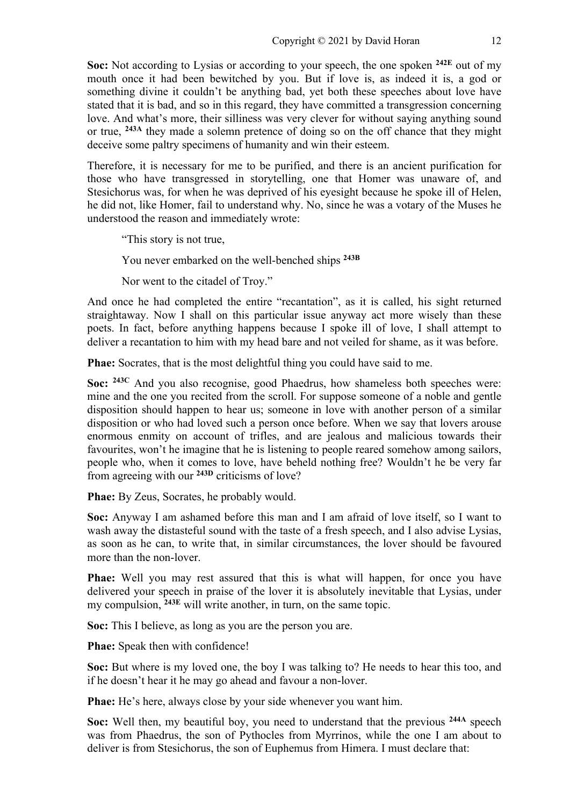**Soc:** Not according to Lysias or according to your speech, the one spoken **242E** out of my mouth once it had been bewitched by you. But if love is, as indeed it is, a god or something divine it couldn't be anything bad, yet both these speeches about love have stated that it is bad, and so in this regard, they have committed a transgression concerning love. And what's more, their silliness was very clever for without saying anything sound or true, **243A** they made a solemn pretence of doing so on the off chance that they might deceive some paltry specimens of humanity and win their esteem.

Therefore, it is necessary for me to be purified, and there is an ancient purification for those who have transgressed in storytelling, one that Homer was unaware of, and Stesichorus was, for when he was deprived of his eyesight because he spoke ill of Helen, he did not, like Homer, fail to understand why. No, since he was a votary of the Muses he understood the reason and immediately wrote:

"This story is not true,

You never embarked on the well-benched ships **243B**

Nor went to the citadel of Troy."

And once he had completed the entire "recantation", as it is called, his sight returned straightaway. Now I shall on this particular issue anyway act more wisely than these poets. In fact, before anything happens because I spoke ill of love, I shall attempt to deliver a recantation to him with my head bare and not veiled for shame, as it was before.

**Phae:** Socrates, that is the most delightful thing you could have said to me.

**Soc: 243C** And you also recognise, good Phaedrus, how shameless both speeches were: mine and the one you recited from the scroll. For suppose someone of a noble and gentle disposition should happen to hear us; someone in love with another person of a similar disposition or who had loved such a person once before. When we say that lovers arouse enormous enmity on account of trifles, and are jealous and malicious towards their favourites, won't he imagine that he is listening to people reared somehow among sailors, people who, when it comes to love, have beheld nothing free? Wouldn't he be very far from agreeing with our **243D** criticisms of love?

**Phae:** By Zeus, Socrates, he probably would.

**Soc:** Anyway I am ashamed before this man and I am afraid of love itself, so I want to wash away the distasteful sound with the taste of a fresh speech, and I also advise Lysias, as soon as he can, to write that, in similar circumstances, the lover should be favoured more than the non-lover.

**Phae:** Well you may rest assured that this is what will happen, for once you have delivered your speech in praise of the lover it is absolutely inevitable that Lysias, under my compulsion, **243E** will write another, in turn, on the same topic.

**Soc:** This I believe, as long as you are the person you are.

**Phae:** Speak then with confidence!

**Soc:** But where is my loved one, the boy I was talking to? He needs to hear this too, and if he doesn't hear it he may go ahead and favour a non-lover.

**Phae:** He's here, always close by your side whenever you want him.

**Soc:** Well then, my beautiful boy, you need to understand that the previous **244A** speech was from Phaedrus, the son of Pythocles from Myrrinos, while the one I am about to deliver is from Stesichorus, the son of Euphemus from Himera. I must declare that: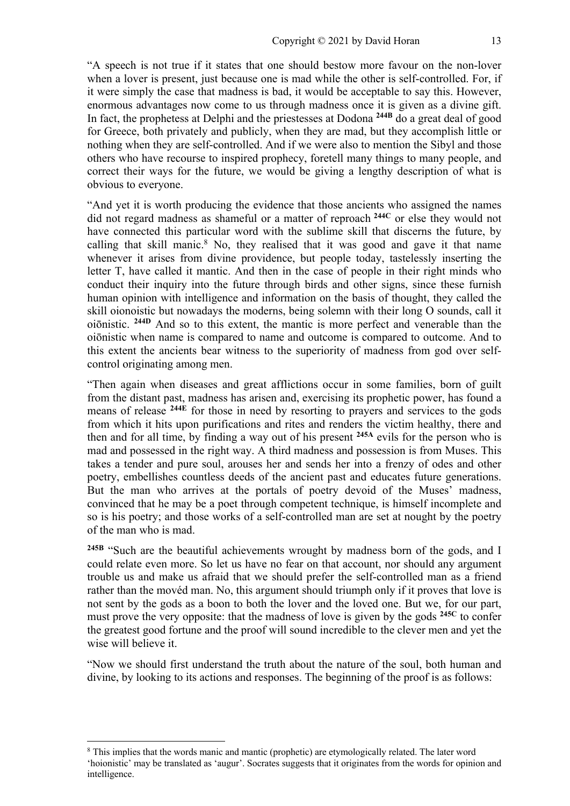"A speech is not true if it states that one should bestow more favour on the non-lover when a lover is present, just because one is mad while the other is self-controlled. For, if it were simply the case that madness is bad, it would be acceptable to say this. However, enormous advantages now come to us through madness once it is given as a divine gift. In fact, the prophetess at Delphi and the priestesses at Dodona **244B** do a great deal of good for Greece, both privately and publicly, when they are mad, but they accomplish little or nothing when they are self-controlled. And if we were also to mention the Sibyl and those others who have recourse to inspired prophecy, foretell many things to many people, and correct their ways for the future, we would be giving a lengthy description of what is obvious to everyone.

"And yet it is worth producing the evidence that those ancients who assigned the names did not regard madness as shameful or a matter of reproach **244C** or else they would not have connected this particular word with the sublime skill that discerns the future, by calling that skill manic.<sup>8</sup> No, they realised that it was good and gave it that name whenever it arises from divine providence, but people today, tastelessly inserting the letter T, have called it mantic. And then in the case of people in their right minds who conduct their inquiry into the future through birds and other signs, since these furnish human opinion with intelligence and information on the basis of thought, they called the skill oionoistic but nowadays the moderns, being solemn with their long O sounds, call it oiōnistic. **244D** And so to this extent, the mantic is more perfect and venerable than the oiōnistic when name is compared to name and outcome is compared to outcome. And to this extent the ancients bear witness to the superiority of madness from god over selfcontrol originating among men.

"Then again when diseases and great afflictions occur in some families, born of guilt from the distant past, madness has arisen and, exercising its prophetic power, has found a means of release **244E** for those in need by resorting to prayers and services to the gods from which it hits upon purifications and rites and renders the victim healthy, there and then and for all time, by finding a way out of his present **245A** evils for the person who is mad and possessed in the right way. A third madness and possession is from Muses. This takes a tender and pure soul, arouses her and sends her into a frenzy of odes and other poetry, embellishes countless deeds of the ancient past and educates future generations. But the man who arrives at the portals of poetry devoid of the Muses' madness, convinced that he may be a poet through competent technique, is himself incomplete and so is his poetry; and those works of a self-controlled man are set at nought by the poetry of the man who is mad.

**245B** "Such are the beautiful achievements wrought by madness born of the gods, and I could relate even more. So let us have no fear on that account, nor should any argument trouble us and make us afraid that we should prefer the self-controlled man as a friend rather than the movéd man. No, this argument should triumph only if it proves that love is not sent by the gods as a boon to both the lover and the loved one. But we, for our part, must prove the very opposite: that the madness of love is given by the gods **245C** to confer the greatest good fortune and the proof will sound incredible to the clever men and yet the wise will believe it.

"Now we should first understand the truth about the nature of the soul, both human and divine, by looking to its actions and responses. The beginning of the proof is as follows:

<sup>&</sup>lt;sup>8</sup> This implies that the words manic and mantic (prophetic) are etymologically related. The later word 'hoionistic' may be translated as 'augur'. Socrates suggests that it originates from the words for opinion and intelligence.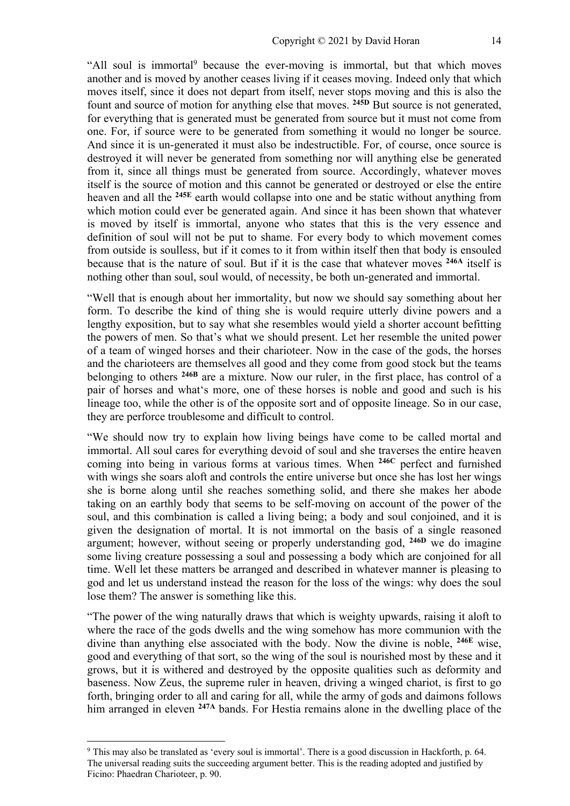"All soul is immortal<sup>9</sup> because the ever-moving is immortal, but that which moves another and is moved by another ceases living if it ceases moving. Indeed only that which moves itself, since it does not depart from itself, never stops moving and this is also the fount and source of motion for anything else that moves. **245D** But source is not generated, for everything that is generated must be generated from source but it must not come from one. For, if source were to be generated from something it would no longer be source. And since it is un-generated it must also be indestructible. For, of course, once source is destroyed it will never be generated from something nor will anything else be generated from it, since all things must be generated from source. Accordingly, whatever moves itself is the source of motion and this cannot be generated or destroyed or else the entire heaven and all the **245E** earth would collapse into one and be static without anything from which motion could ever be generated again. And since it has been shown that whatever is moved by itself is immortal, anyone who states that this is the very essence and definition of soul will not be put to shame. For every body to which movement comes from outside is soulless, but if it comes to it from within itself then that body is ensouled because that is the nature of soul. But if it is the case that whatever moves **246A** itself is nothing other than soul, soul would, of necessity, be both un-generated and immortal.

"Well that is enough about her immortality, but now we should say something about her form. To describe the kind of thing she is would require utterly divine powers and a lengthy exposition, but to say what she resembles would yield a shorter account befitting the powers of men. So that's what we should present. Let her resemble the united power of a team of winged horses and their charioteer. Now in the case of the gods, the horses and the charioteers are themselves all good and they come from good stock but the teams belonging to others **246B** are a mixture. Now our ruler, in the first place, has control of a pair of horses and what's more, one of these horses is noble and good and such is his lineage too, while the other is of the opposite sort and of opposite lineage. So in our case, they are perforce troublesome and difficult to control.

"We should now try to explain how living beings have come to be called mortal and immortal. All soul cares for everything devoid of soul and she traverses the entire heaven coming into being in various forms at various times. When **246C** perfect and furnished with wings she soars aloft and controls the entire universe but once she has lost her wings she is borne along until she reaches something solid, and there she makes her abode taking on an earthly body that seems to be self-moving on account of the power of the soul, and this combination is called a living being; a body and soul conjoined, and it is given the designation of mortal. It is not immortal on the basis of a single reasoned argument; however, without seeing or properly understanding god, **246D** we do imagine some living creature possessing a soul and possessing a body which are conjoined for all time. Well let these matters be arranged and described in whatever manner is pleasing to god and let us understand instead the reason for the loss of the wings: why does the soul lose them? The answer is something like this.

"The power of the wing naturally draws that which is weighty upwards, raising it aloft to where the race of the gods dwells and the wing somehow has more communion with the divine than anything else associated with the body. Now the divine is noble, **246E** wise, good and everything of that sort, so the wing of the soul is nourished most by these and it grows, but it is withered and destroyed by the opposite qualities such as deformity and baseness. Now Zeus, the supreme ruler in heaven, driving a winged chariot, is first to go forth, bringing order to all and caring for all, while the army of gods and daimons follows him arranged in eleven **247A** bands. For Hestia remains alone in the dwelling place of the

<sup>9</sup> This may also be translated as 'every soul is immortal'. There is a good discussion in Hackforth, p. 64. The universal reading suits the succeeding argument better. This is the reading adopted and justified by Ficino: Phaedran Charioteer, p. 90.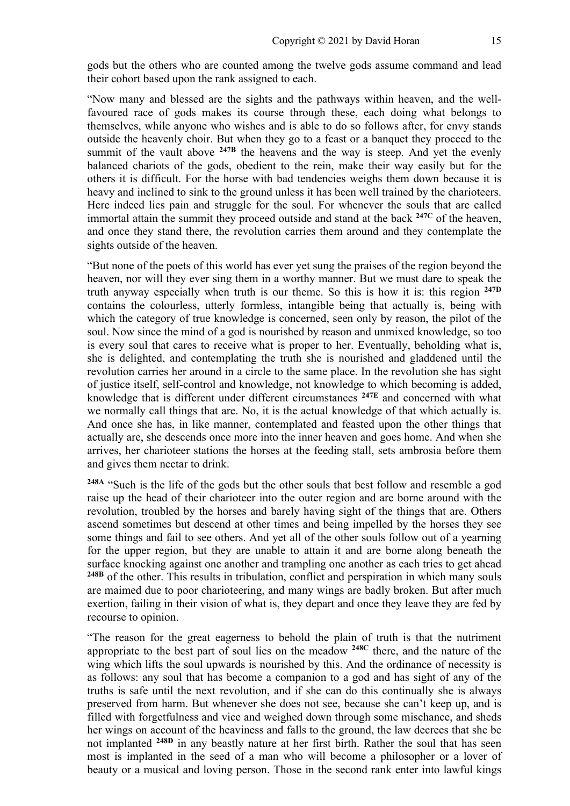gods but the others who are counted among the twelve gods assume command and lead their cohort based upon the rank assigned to each.

"Now many and blessed are the sights and the pathways within heaven, and the wellfavoured race of gods makes its course through these, each doing what belongs to themselves, while anyone who wishes and is able to do so follows after, for envy stands outside the heavenly choir. But when they go to a feast or a banquet they proceed to the summit of the vault above <sup>247B</sup> the heavens and the way is steep. And yet the evenly balanced chariots of the gods, obedient to the rein, make their way easily but for the others it is difficult. For the horse with bad tendencies weighs them down because it is heavy and inclined to sink to the ground unless it has been well trained by the charioteers. Here indeed lies pain and struggle for the soul. For whenever the souls that are called immortal attain the summit they proceed outside and stand at the back **247C** of the heaven, and once they stand there, the revolution carries them around and they contemplate the sights outside of the heaven.

"But none of the poets of this world has ever yet sung the praises of the region beyond the heaven, nor will they ever sing them in a worthy manner. But we must dare to speak the truth anyway especially when truth is our theme. So this is how it is: this region **247D** contains the colourless, utterly formless, intangible being that actually is, being with which the category of true knowledge is concerned, seen only by reason, the pilot of the soul. Now since the mind of a god is nourished by reason and unmixed knowledge, so too is every soul that cares to receive what is proper to her. Eventually, beholding what is, she is delighted, and contemplating the truth she is nourished and gladdened until the revolution carries her around in a circle to the same place. In the revolution she has sight of justice itself, self-control and knowledge, not knowledge to which becoming is added, knowledge that is different under different circumstances **247E** and concerned with what we normally call things that are. No, it is the actual knowledge of that which actually is. And once she has, in like manner, contemplated and feasted upon the other things that actually are, she descends once more into the inner heaven and goes home. And when she arrives, her charioteer stations the horses at the feeding stall, sets ambrosia before them and gives them nectar to drink.

**248A** "Such is the life of the gods but the other souls that best follow and resemble a god raise up the head of their charioteer into the outer region and are borne around with the revolution, troubled by the horses and barely having sight of the things that are. Others ascend sometimes but descend at other times and being impelled by the horses they see some things and fail to see others. And yet all of the other souls follow out of a yearning for the upper region, but they are unable to attain it and are borne along beneath the surface knocking against one another and trampling one another as each tries to get ahead **248B** of the other. This results in tribulation, conflict and perspiration in which many souls are maimed due to poor charioteering, and many wings are badly broken. But after much exertion, failing in their vision of what is, they depart and once they leave they are fed by recourse to opinion.

"The reason for the great eagerness to behold the plain of truth is that the nutriment appropriate to the best part of soul lies on the meadow **248C** there, and the nature of the wing which lifts the soul upwards is nourished by this. And the ordinance of necessity is as follows: any soul that has become a companion to a god and has sight of any of the truths is safe until the next revolution, and if she can do this continually she is always preserved from harm. But whenever she does not see, because she can't keep up, and is filled with forgetfulness and vice and weighed down through some mischance, and sheds her wings on account of the heaviness and falls to the ground, the law decrees that she be not implanted **248D** in any beastly nature at her first birth. Rather the soul that has seen most is implanted in the seed of a man who will become a philosopher or a lover of beauty or a musical and loving person. Those in the second rank enter into lawful kings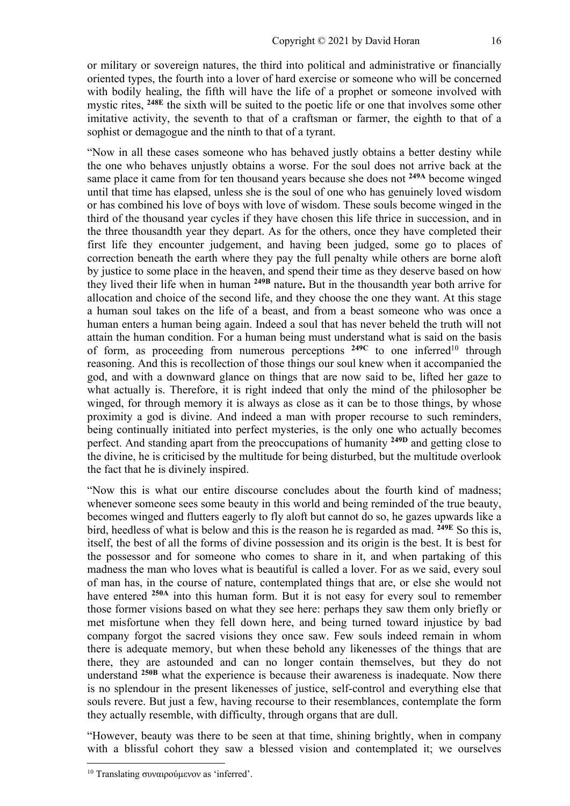or military or sovereign natures, the third into political and administrative or financially oriented types, the fourth into a lover of hard exercise or someone who will be concerned with bodily healing, the fifth will have the life of a prophet or someone involved with mystic rites, **248E** the sixth will be suited to the poetic life or one that involves some other imitative activity, the seventh to that of a craftsman or farmer, the eighth to that of a sophist or demagogue and the ninth to that of a tyrant.

"Now in all these cases someone who has behaved justly obtains a better destiny while the one who behaves unjustly obtains a worse. For the soul does not arrive back at the same place it came from for ten thousand years because she does not **249A** become winged until that time has elapsed, unless she is the soul of one who has genuinely loved wisdom or has combined his love of boys with love of wisdom. These souls become winged in the third of the thousand year cycles if they have chosen this life thrice in succession, and in the three thousandth year they depart. As for the others, once they have completed their first life they encounter judgement, and having been judged, some go to places of correction beneath the earth where they pay the full penalty while others are borne aloft by justice to some place in the heaven, and spend their time as they deserve based on how they lived their life when in human **249B** nature**.** But in the thousandth year both arrive for allocation and choice of the second life, and they choose the one they want. At this stage a human soul takes on the life of a beast, and from a beast someone who was once a human enters a human being again. Indeed a soul that has never beheld the truth will not attain the human condition. For a human being must understand what is said on the basis of form, as proceeding from numerous perceptions <sup>249C</sup> to one inferred<sup>10</sup> through reasoning. And this is recollection of those things our soul knew when it accompanied the god, and with a downward glance on things that are now said to be, lifted her gaze to what actually is. Therefore, it is right indeed that only the mind of the philosopher be winged, for through memory it is always as close as it can be to those things, by whose proximity a god is divine. And indeed a man with proper recourse to such reminders, being continually initiated into perfect mysteries, is the only one who actually becomes perfect. And standing apart from the preoccupations of humanity **249D** and getting close to the divine, he is criticised by the multitude for being disturbed, but the multitude overlook the fact that he is divinely inspired.

"Now this is what our entire discourse concludes about the fourth kind of madness; whenever someone sees some beauty in this world and being reminded of the true beauty, becomes winged and flutters eagerly to fly aloft but cannot do so, he gazes upwards like a bird, heedless of what is below and this is the reason he is regarded as mad. **249E** So this is, itself, the best of all the forms of divine possession and its origin is the best. It is best for the possessor and for someone who comes to share in it, and when partaking of this madness the man who loves what is beautiful is called a lover. For as we said, every soul of man has, in the course of nature, contemplated things that are, or else she would not have entered **250A** into this human form. But it is not easy for every soul to remember those former visions based on what they see here: perhaps they saw them only briefly or met misfortune when they fell down here, and being turned toward injustice by bad company forgot the sacred visions they once saw. Few souls indeed remain in whom there is adequate memory, but when these behold any likenesses of the things that are there, they are astounded and can no longer contain themselves, but they do not understand **250B** what the experience is because their awareness is inadequate. Now there is no splendour in the present likenesses of justice, self-control and everything else that souls revere. But just a few, having recourse to their resemblances, contemplate the form they actually resemble, with difficulty, through organs that are dull.

"However, beauty was there to be seen at that time, shining brightly, when in company with a blissful cohort they saw a blessed vision and contemplated it; we ourselves

<sup>&</sup>lt;sup>10</sup> Translating συναιρούμενον as 'inferred'.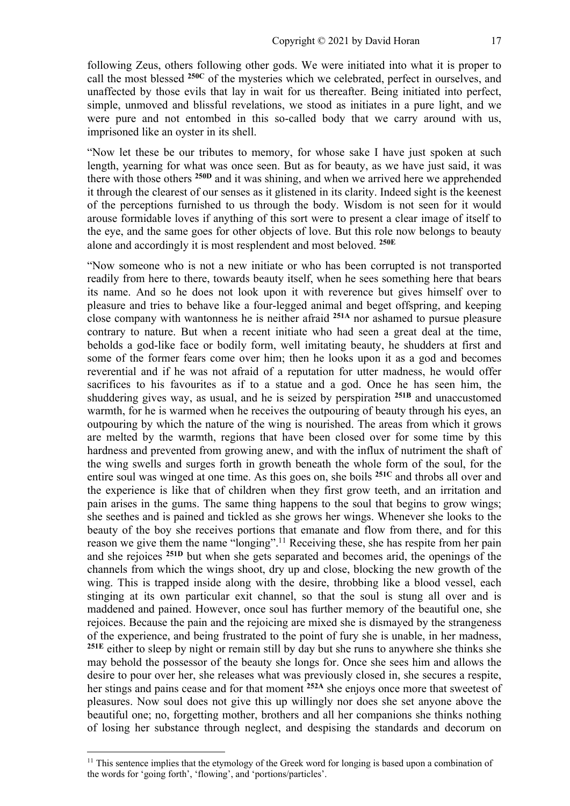following Zeus, others following other gods. We were initiated into what it is proper to call the most blessed **250C** of the mysteries which we celebrated, perfect in ourselves, and unaffected by those evils that lay in wait for us thereafter. Being initiated into perfect, simple, unmoved and blissful revelations, we stood as initiates in a pure light, and we were pure and not entombed in this so-called body that we carry around with us, imprisoned like an oyster in its shell.

"Now let these be our tributes to memory, for whose sake I have just spoken at such length, yearning for what was once seen. But as for beauty, as we have just said, it was there with those others **250D** and it was shining, and when we arrived here we apprehended it through the clearest of our senses as it glistened in its clarity. Indeed sight is the keenest of the perceptions furnished to us through the body. Wisdom is not seen for it would arouse formidable loves if anything of this sort were to present a clear image of itself to the eye, and the same goes for other objects of love. But this role now belongs to beauty alone and accordingly it is most resplendent and most beloved. **250E**

"Now someone who is not a new initiate or who has been corrupted is not transported readily from here to there, towards beauty itself, when he sees something here that bears its name. And so he does not look upon it with reverence but gives himself over to pleasure and tries to behave like a four-legged animal and beget offspring, and keeping close company with wantonness he is neither afraid **251A** nor ashamed to pursue pleasure contrary to nature. But when a recent initiate who had seen a great deal at the time, beholds a god-like face or bodily form, well imitating beauty, he shudders at first and some of the former fears come over him; then he looks upon it as a god and becomes reverential and if he was not afraid of a reputation for utter madness, he would offer sacrifices to his favourites as if to a statue and a god. Once he has seen him, the shuddering gives way, as usual, and he is seized by perspiration **251B** and unaccustomed warmth, for he is warmed when he receives the outpouring of beauty through his eyes, an outpouring by which the nature of the wing is nourished. The areas from which it grows are melted by the warmth, regions that have been closed over for some time by this hardness and prevented from growing anew, and with the influx of nutriment the shaft of the wing swells and surges forth in growth beneath the whole form of the soul, for the entire soul was winged at one time. As this goes on, she boils **251C** and throbs all over and the experience is like that of children when they first grow teeth, and an irritation and pain arises in the gums. The same thing happens to the soul that begins to grow wings; she seethes and is pained and tickled as she grows her wings. Whenever she looks to the beauty of the boy she receives portions that emanate and flow from there, and for this reason we give them the name "longing".<sup>11</sup> Receiving these, she has respite from her pain and she rejoices **251D** but when she gets separated and becomes arid, the openings of the channels from which the wings shoot, dry up and close, blocking the new growth of the wing. This is trapped inside along with the desire, throbbing like a blood vessel, each stinging at its own particular exit channel, so that the soul is stung all over and is maddened and pained. However, once soul has further memory of the beautiful one, she rejoices. Because the pain and the rejoicing are mixed she is dismayed by the strangeness of the experience, and being frustrated to the point of fury she is unable, in her madness, **251E** either to sleep by night or remain still by day but she runs to anywhere she thinks she may behold the possessor of the beauty she longs for. Once she sees him and allows the desire to pour over her, she releases what was previously closed in, she secures a respite, her stings and pains cease and for that moment **252A** she enjoys once more that sweetest of pleasures. Now soul does not give this up willingly nor does she set anyone above the beautiful one; no, forgetting mother, brothers and all her companions she thinks nothing of losing her substance through neglect, and despising the standards and decorum on

<sup>&</sup>lt;sup>11</sup> This sentence implies that the etymology of the Greek word for longing is based upon a combination of the words for 'going forth', 'flowing', and 'portions/particles'.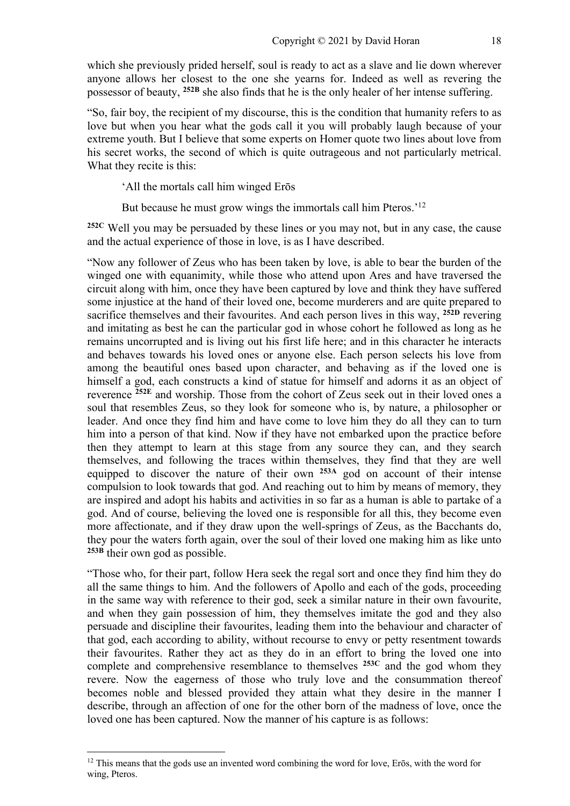which she previously prided herself, soul is ready to act as a slave and lie down wherever anyone allows her closest to the one she yearns for. Indeed as well as revering the possessor of beauty, **252B** she also finds that he is the only healer of her intense suffering.

"So, fair boy, the recipient of my discourse, this is the condition that humanity refers to as love but when you hear what the gods call it you will probably laugh because of your extreme youth. But I believe that some experts on Homer quote two lines about love from his secret works, the second of which is quite outrageous and not particularly metrical. What they recite is this:

'All the mortals call him winged Erōs

But because he must grow wings the immortals call him Pteros.'<sup>12</sup>

**252C** Well you may be persuaded by these lines or you may not, but in any case, the cause and the actual experience of those in love, is as I have described.

"Now any follower of Zeus who has been taken by love, is able to bear the burden of the winged one with equanimity, while those who attend upon Ares and have traversed the circuit along with him, once they have been captured by love and think they have suffered some injustice at the hand of their loved one, become murderers and are quite prepared to sacrifice themselves and their favourites. And each person lives in this way, **252D** revering and imitating as best he can the particular god in whose cohort he followed as long as he remains uncorrupted and is living out his first life here; and in this character he interacts and behaves towards his loved ones or anyone else. Each person selects his love from among the beautiful ones based upon character, and behaving as if the loved one is himself a god, each constructs a kind of statue for himself and adorns it as an object of reverence **252E** and worship. Those from the cohort of Zeus seek out in their loved ones a soul that resembles Zeus, so they look for someone who is, by nature, a philosopher or leader. And once they find him and have come to love him they do all they can to turn him into a person of that kind. Now if they have not embarked upon the practice before then they attempt to learn at this stage from any source they can, and they search themselves, and following the traces within themselves, they find that they are well equipped to discover the nature of their own **253A** god on account of their intense compulsion to look towards that god. And reaching out to him by means of memory, they are inspired and adopt his habits and activities in so far as a human is able to partake of a god. And of course, believing the loved one is responsible for all this, they become even more affectionate, and if they draw upon the well-springs of Zeus, as the Bacchants do, they pour the waters forth again, over the soul of their loved one making him as like unto **253B** their own god as possible.

"Those who, for their part, follow Hera seek the regal sort and once they find him they do all the same things to him. And the followers of Apollo and each of the gods, proceeding in the same way with reference to their god, seek a similar nature in their own favourite, and when they gain possession of him, they themselves imitate the god and they also persuade and discipline their favourites, leading them into the behaviour and character of that god, each according to ability, without recourse to envy or petty resentment towards their favourites. Rather they act as they do in an effort to bring the loved one into complete and comprehensive resemblance to themselves **253C** and the god whom they revere. Now the eagerness of those who truly love and the consummation thereof becomes noble and blessed provided they attain what they desire in the manner I describe, through an affection of one for the other born of the madness of love, once the loved one has been captured. Now the manner of his capture is as follows:

<sup>&</sup>lt;sup>12</sup> This means that the gods use an invented word combining the word for love, Erōs, with the word for wing, Pteros.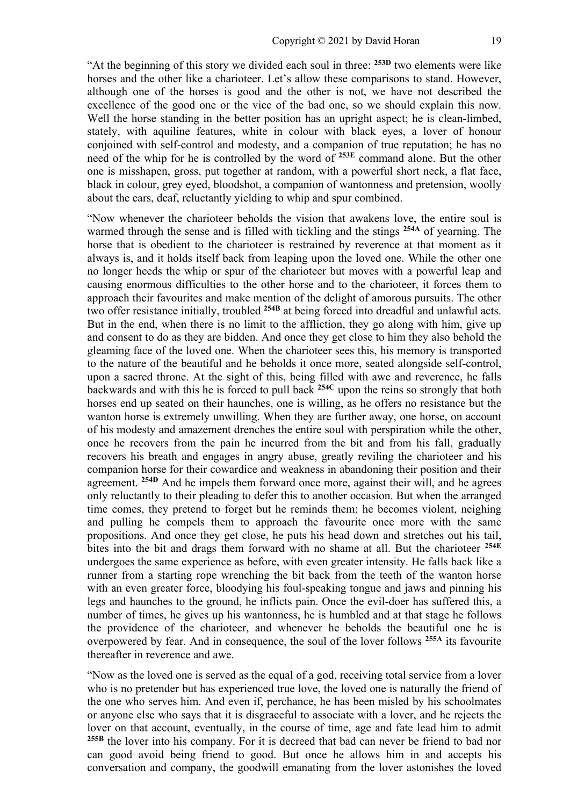"At the beginning of this story we divided each soul in three: **253D** two elements were like horses and the other like a charioteer. Let's allow these comparisons to stand. However, although one of the horses is good and the other is not, we have not described the excellence of the good one or the vice of the bad one, so we should explain this now. Well the horse standing in the better position has an upright aspect; he is clean-limbed, stately, with aquiline features, white in colour with black eyes, a lover of honour conjoined with self-control and modesty, and a companion of true reputation; he has no need of the whip for he is controlled by the word of **253E** command alone. But the other one is misshapen, gross, put together at random, with a powerful short neck, a flat face, black in colour, grey eyed, bloodshot, a companion of wantonness and pretension, woolly about the ears, deaf, reluctantly yielding to whip and spur combined.

"Now whenever the charioteer beholds the vision that awakens love, the entire soul is warmed through the sense and is filled with tickling and the stings **254A** of yearning. The horse that is obedient to the charioteer is restrained by reverence at that moment as it always is, and it holds itself back from leaping upon the loved one. While the other one no longer heeds the whip or spur of the charioteer but moves with a powerful leap and causing enormous difficulties to the other horse and to the charioteer, it forces them to approach their favourites and make mention of the delight of amorous pursuits. The other two offer resistance initially, troubled **254B** at being forced into dreadful and unlawful acts. But in the end, when there is no limit to the affliction, they go along with him, give up and consent to do as they are bidden. And once they get close to him they also behold the gleaming face of the loved one. When the charioteer sees this, his memory is transported to the nature of the beautiful and he beholds it once more, seated alongside self-control, upon a sacred throne. At the sight of this, being filled with awe and reverence, he falls backwards and with this he is forced to pull back **254C** upon the reins so strongly that both horses end up seated on their haunches, one is willing, as he offers no resistance but the wanton horse is extremely unwilling. When they are further away, one horse, on account of his modesty and amazement drenches the entire soul with perspiration while the other, once he recovers from the pain he incurred from the bit and from his fall, gradually recovers his breath and engages in angry abuse, greatly reviling the charioteer and his companion horse for their cowardice and weakness in abandoning their position and their agreement. **254D** And he impels them forward once more, against their will, and he agrees only reluctantly to their pleading to defer this to another occasion. But when the arranged time comes, they pretend to forget but he reminds them; he becomes violent, neighing and pulling he compels them to approach the favourite once more with the same propositions. And once they get close, he puts his head down and stretches out his tail, bites into the bit and drags them forward with no shame at all. But the charioteer **254E** undergoes the same experience as before, with even greater intensity. He falls back like a runner from a starting rope wrenching the bit back from the teeth of the wanton horse with an even greater force, bloodying his foul-speaking tongue and jaws and pinning his legs and haunches to the ground, he inflicts pain. Once the evil-doer has suffered this, a number of times, he gives up his wantonness, he is humbled and at that stage he follows the providence of the charioteer, and whenever he beholds the beautiful one he is overpowered by fear. And in consequence, the soul of the lover follows **255A** its favourite thereafter in reverence and awe.

"Now as the loved one is served as the equal of a god, receiving total service from a lover who is no pretender but has experienced true love, the loved one is naturally the friend of the one who serves him. And even if, perchance, he has been misled by his schoolmates or anyone else who says that it is disgraceful to associate with a lover, and he rejects the lover on that account, eventually, in the course of time, age and fate lead him to admit **255B** the lover into his company. For it is decreed that bad can never be friend to bad nor can good avoid being friend to good. But once he allows him in and accepts his conversation and company, the goodwill emanating from the lover astonishes the loved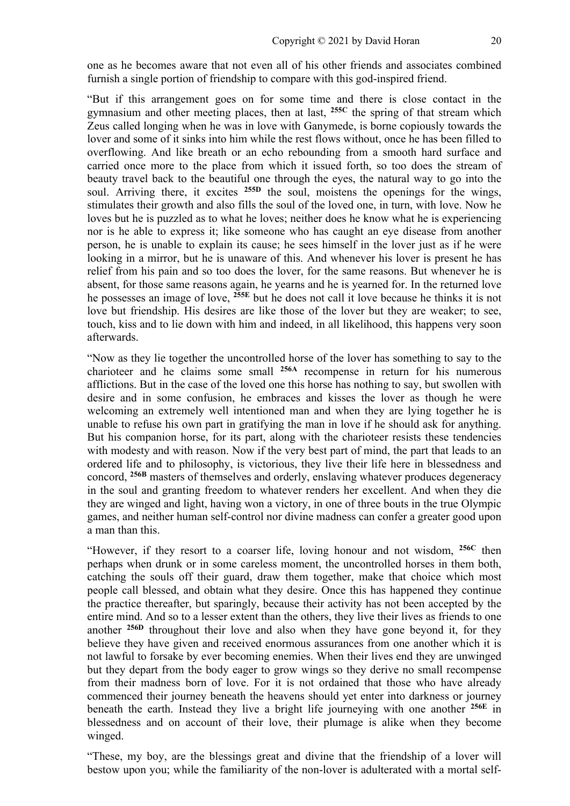one as he becomes aware that not even all of his other friends and associates combined furnish a single portion of friendship to compare with this god-inspired friend.

"But if this arrangement goes on for some time and there is close contact in the gymnasium and other meeting places, then at last, **255C** the spring of that stream which Zeus called longing when he was in love with Ganymede, is borne copiously towards the lover and some of it sinks into him while the rest flows without, once he has been filled to overflowing. And like breath or an echo rebounding from a smooth hard surface and carried once more to the place from which it issued forth, so too does the stream of beauty travel back to the beautiful one through the eyes, the natural way to go into the soul. Arriving there, it excites **255D** the soul, moistens the openings for the wings, stimulates their growth and also fills the soul of the loved one, in turn, with love. Now he loves but he is puzzled as to what he loves; neither does he know what he is experiencing nor is he able to express it; like someone who has caught an eye disease from another person, he is unable to explain its cause; he sees himself in the lover just as if he were looking in a mirror, but he is unaware of this. And whenever his lover is present he has relief from his pain and so too does the lover, for the same reasons. But whenever he is absent, for those same reasons again, he yearns and he is yearned for. In the returned love he possesses an image of love, **255E** but he does not call it love because he thinks it is not love but friendship. His desires are like those of the lover but they are weaker; to see, touch, kiss and to lie down with him and indeed, in all likelihood, this happens very soon afterwards.

"Now as they lie together the uncontrolled horse of the lover has something to say to the charioteer and he claims some small **256A** recompense in return for his numerous afflictions. But in the case of the loved one this horse has nothing to say, but swollen with desire and in some confusion, he embraces and kisses the lover as though he were welcoming an extremely well intentioned man and when they are lying together he is unable to refuse his own part in gratifying the man in love if he should ask for anything. But his companion horse, for its part, along with the charioteer resists these tendencies with modesty and with reason. Now if the very best part of mind, the part that leads to an ordered life and to philosophy, is victorious, they live their life here in blessedness and concord, **256B** masters of themselves and orderly, enslaving whatever produces degeneracy in the soul and granting freedom to whatever renders her excellent. And when they die they are winged and light, having won a victory, in one of three bouts in the true Olympic games, and neither human self-control nor divine madness can confer a greater good upon a man than this.

"However, if they resort to a coarser life, loving honour and not wisdom, **256C** then perhaps when drunk or in some careless moment, the uncontrolled horses in them both, catching the souls off their guard, draw them together, make that choice which most people call blessed, and obtain what they desire. Once this has happened they continue the practice thereafter, but sparingly, because their activity has not been accepted by the entire mind. And so to a lesser extent than the others, they live their lives as friends to one another **256D** throughout their love and also when they have gone beyond it, for they believe they have given and received enormous assurances from one another which it is not lawful to forsake by ever becoming enemies. When their lives end they are unwinged but they depart from the body eager to grow wings so they derive no small recompense from their madness born of love. For it is not ordained that those who have already commenced their journey beneath the heavens should yet enter into darkness or journey beneath the earth. Instead they live a bright life journeying with one another **256E** in blessedness and on account of their love, their plumage is alike when they become winged.

"These, my boy, are the blessings great and divine that the friendship of a lover will bestow upon you; while the familiarity of the non-lover is adulterated with a mortal self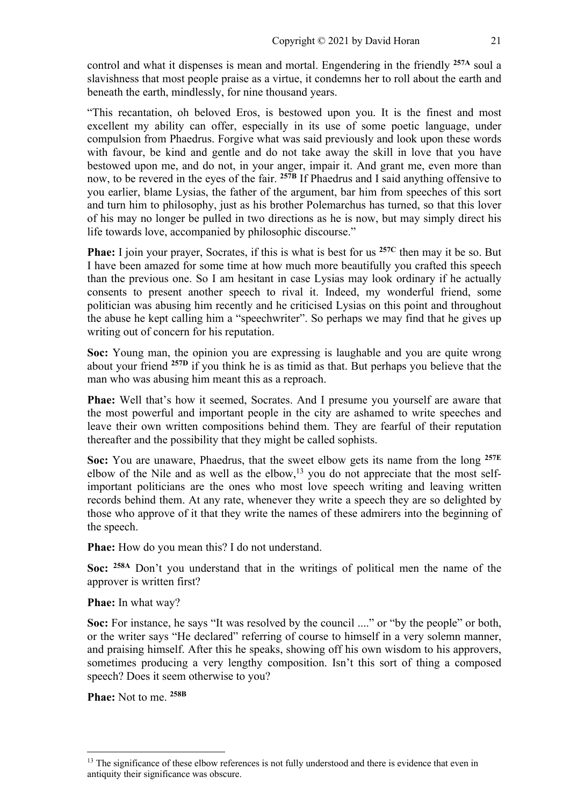control and what it dispenses is mean and mortal. Engendering in the friendly **257A** soul a slavishness that most people praise as a virtue, it condemns her to roll about the earth and beneath the earth, mindlessly, for nine thousand years.

"This recantation, oh beloved Eros, is bestowed upon you. It is the finest and most excellent my ability can offer, especially in its use of some poetic language, under compulsion from Phaedrus. Forgive what was said previously and look upon these words with favour, be kind and gentle and do not take away the skill in love that you have bestowed upon me, and do not, in your anger, impair it. And grant me, even more than now, to be revered in the eyes of the fair. **257B** If Phaedrus and I said anything offensive to you earlier, blame Lysias, the father of the argument, bar him from speeches of this sort and turn him to philosophy, just as his brother Polemarchus has turned, so that this lover of his may no longer be pulled in two directions as he is now, but may simply direct his life towards love, accompanied by philosophic discourse."

**Phae:** I join your prayer, Socrates, if this is what is best for us **257C** then may it be so. But I have been amazed for some time at how much more beautifully you crafted this speech than the previous one. So I am hesitant in case Lysias may look ordinary if he actually consents to present another speech to rival it. Indeed, my wonderful friend, some politician was abusing him recently and he criticised Lysias on this point and throughout the abuse he kept calling him a "speechwriter". So perhaps we may find that he gives up writing out of concern for his reputation.

**Soc:** Young man, the opinion you are expressing is laughable and you are quite wrong about your friend **257D** if you think he is as timid as that. But perhaps you believe that the man who was abusing him meant this as a reproach.

**Phae:** Well that's how it seemed, Socrates. And I presume you yourself are aware that the most powerful and important people in the city are ashamed to write speeches and leave their own written compositions behind them. They are fearful of their reputation thereafter and the possibility that they might be called sophists.

**Soc:** You are unaware, Phaedrus, that the sweet elbow gets its name from the long **257E** elbow of the Nile and as well as the elbow,<sup>13</sup> you do not appreciate that the most selfimportant politicians are the ones who most love speech writing and leaving written records behind them. At any rate, whenever they write a speech they are so delighted by those who approve of it that they write the names of these admirers into the beginning of the speech.

**Phae:** How do you mean this? I do not understand.

**Soc: 258A** Don't you understand that in the writings of political men the name of the approver is written first?

**Phae:** In what way?

**Soc:** For instance, he says "It was resolved by the council ...." or "by the people" or both, or the writer says "He declared" referring of course to himself in a very solemn manner, and praising himself. After this he speaks, showing off his own wisdom to his approvers, sometimes producing a very lengthy composition. Isn't this sort of thing a composed speech? Does it seem otherwise to you?

**Phae:** Not to me. **258B**

<sup>&</sup>lt;sup>13</sup> The significance of these elbow references is not fully understood and there is evidence that even in antiquity their significance was obscure.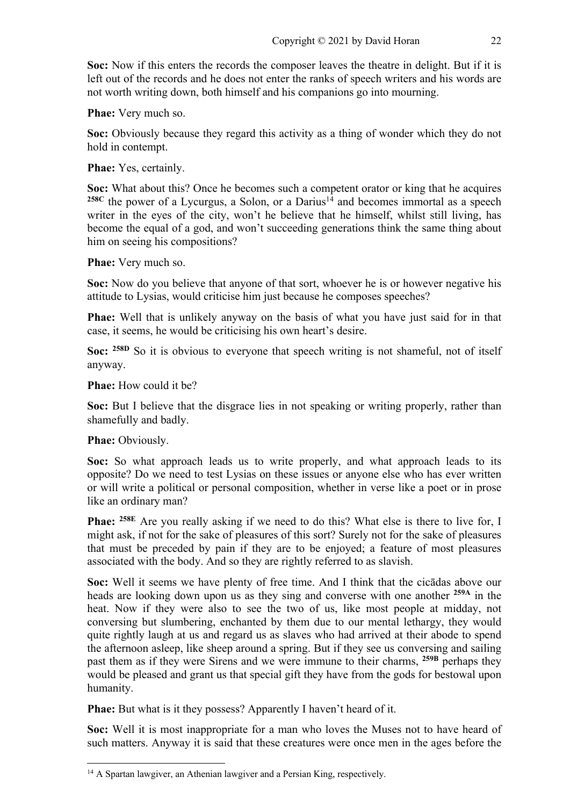**Soc:** Now if this enters the records the composer leaves the theatre in delight. But if it is left out of the records and he does not enter the ranks of speech writers and his words are not worth writing down, both himself and his companions go into mourning.

**Phae:** Very much so.

**Soc:** Obviously because they regard this activity as a thing of wonder which they do not hold in contempt.

**Phae:** Yes, certainly.

**Soc:** What about this? Once he becomes such a competent orator or king that he acquires  $258C$  the power of a Lycurgus, a Solon, or a Darius<sup>14</sup> and becomes immortal as a speech writer in the eyes of the city, won't he believe that he himself, whilst still living, has become the equal of a god, and won't succeeding generations think the same thing about him on seeing his compositions?

**Phae:** Very much so.

**Soc:** Now do you believe that anyone of that sort, whoever he is or however negative his attitude to Lysias, would criticise him just because he composes speeches?

**Phae:** Well that is unlikely anyway on the basis of what you have just said for in that case, it seems, he would be criticising his own heart's desire.

**Soc:** <sup>258D</sup> So it is obvious to everyone that speech writing is not shameful, not of itself anyway.

**Phae:** How could it be?

**Soc:** But I believe that the disgrace lies in not speaking or writing properly, rather than shamefully and badly.

Phae: Obviously.

**Soc:** So what approach leads us to write properly, and what approach leads to its opposite? Do we need to test Lysias on these issues or anyone else who has ever written or will write a political or personal composition, whether in verse like a poet or in prose like an ordinary man?

**Phae: 258E** Are you really asking if we need to do this? What else is there to live for, I might ask, if not for the sake of pleasures of this sort? Surely not for the sake of pleasures that must be preceded by pain if they are to be enjoyed; a feature of most pleasures associated with the body. And so they are rightly referred to as slavish.

**Soc:** Well it seems we have plenty of free time. And I think that the cicādas above our heads are looking down upon us as they sing and converse with one another **259A** in the heat. Now if they were also to see the two of us, like most people at midday, not conversing but slumbering, enchanted by them due to our mental lethargy, they would quite rightly laugh at us and regard us as slaves who had arrived at their abode to spend the afternoon asleep, like sheep around a spring. But if they see us conversing and sailing past them as if they were Sirens and we were immune to their charms, **259B** perhaps they would be pleased and grant us that special gift they have from the gods for bestowal upon humanity.

**Phae:** But what is it they possess? Apparently I haven't heard of it.

**Soc:** Well it is most inappropriate for a man who loves the Muses not to have heard of such matters. Anyway it is said that these creatures were once men in the ages before the

<sup>&</sup>lt;sup>14</sup> A Spartan lawgiver, an Athenian lawgiver and a Persian King, respectively.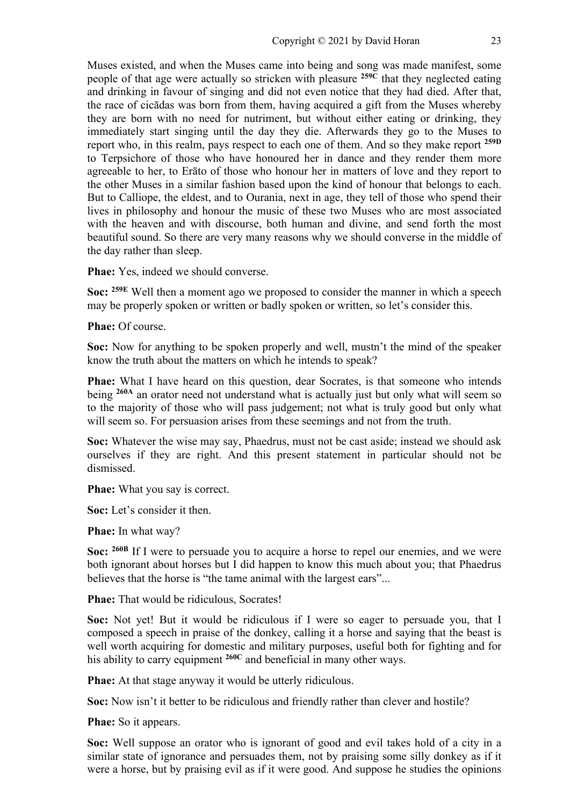Muses existed, and when the Muses came into being and song was made manifest, some people of that age were actually so stricken with pleasure **259C** that they neglected eating and drinking in favour of singing and did not even notice that they had died. After that, the race of cicādas was born from them, having acquired a gift from the Muses whereby they are born with no need for nutriment, but without either eating or drinking, they immediately start singing until the day they die. Afterwards they go to the Muses to report who, in this realm, pays respect to each one of them. And so they make report **259D** to Terpsichore of those who have honoured her in dance and they render them more agreeable to her, to Erāto of those who honour her in matters of love and they report to the other Muses in a similar fashion based upon the kind of honour that belongs to each. But to Calliope, the eldest, and to Ourania, next in age, they tell of those who spend their lives in philosophy and honour the music of these two Muses who are most associated with the heaven and with discourse, both human and divine, and send forth the most beautiful sound. So there are very many reasons why we should converse in the middle of the day rather than sleep.

**Phae:** Yes, indeed we should converse.

**Soc: 259E** Well then a moment ago we proposed to consider the manner in which a speech may be properly spoken or written or badly spoken or written, so let's consider this.

**Phae:** Of course.

**Soc:** Now for anything to be spoken properly and well, mustn't the mind of the speaker know the truth about the matters on which he intends to speak?

**Phae:** What I have heard on this question, dear Socrates, is that someone who intends being **260A** an orator need not understand what is actually just but only what will seem so to the majority of those who will pass judgement; not what is truly good but only what will seem so. For persuasion arises from these seemings and not from the truth.

**Soc:** Whatever the wise may say, Phaedrus, must not be cast aside; instead we should ask ourselves if they are right. And this present statement in particular should not be dismissed.

**Phae:** What you say is correct.

**Soc:** Let's consider it then.

**Phae:** In what way?

**Soc: 260B** If I were to persuade you to acquire a horse to repel our enemies, and we were both ignorant about horses but I did happen to know this much about you; that Phaedrus believes that the horse is "the tame animal with the largest ears"...

**Phae:** That would be ridiculous, Socrates!

**Soc:** Not yet! But it would be ridiculous if I were so eager to persuade you, that I composed a speech in praise of the donkey, calling it a horse and saying that the beast is well worth acquiring for domestic and military purposes, useful both for fighting and for his ability to carry equipment **260C** and beneficial in many other ways.

**Phae:** At that stage anyway it would be utterly ridiculous.

**Soc:** Now isn't it better to be ridiculous and friendly rather than clever and hostile?

**Phae:** So it appears.

**Soc:** Well suppose an orator who is ignorant of good and evil takes hold of a city in a similar state of ignorance and persuades them, not by praising some silly donkey as if it were a horse, but by praising evil as if it were good. And suppose he studies the opinions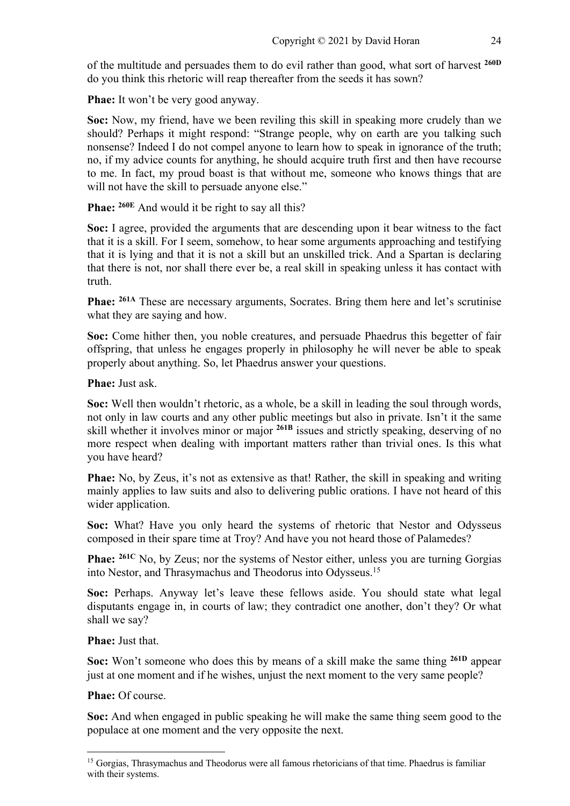of the multitude and persuades them to do evil rather than good, what sort of harvest **260D** do you think this rhetoric will reap thereafter from the seeds it has sown?

**Phae:** It won't be very good anyway.

**Soc:** Now, my friend, have we been reviling this skill in speaking more crudely than we should? Perhaps it might respond: "Strange people, why on earth are you talking such nonsense? Indeed I do not compel anyone to learn how to speak in ignorance of the truth; no, if my advice counts for anything, he should acquire truth first and then have recourse to me. In fact, my proud boast is that without me, someone who knows things that are will not have the skill to persuade anyone else."

Phae: <sup>260E</sup> And would it be right to say all this?

**Soc:** I agree, provided the arguments that are descending upon it bear witness to the fact that it is a skill. For I seem, somehow, to hear some arguments approaching and testifying that it is lying and that it is not a skill but an unskilled trick. And a Spartan is declaring that there is not, nor shall there ever be, a real skill in speaking unless it has contact with truth.

**Phae:** <sup>261A</sup> These are necessary arguments, Socrates. Bring them here and let's scrutinise what they are saying and how.

**Soc:** Come hither then, you noble creatures, and persuade Phaedrus this begetter of fair offspring, that unless he engages properly in philosophy he will never be able to speak properly about anything. So, let Phaedrus answer your questions.

**Phae:** Just ask.

**Soc:** Well then wouldn't rhetoric, as a whole, be a skill in leading the soul through words, not only in law courts and any other public meetings but also in private. Isn't it the same skill whether it involves minor or major **261B** issues and strictly speaking, deserving of no more respect when dealing with important matters rather than trivial ones. Is this what you have heard?

**Phae:** No, by Zeus, it's not as extensive as that! Rather, the skill in speaking and writing mainly applies to law suits and also to delivering public orations. I have not heard of this wider application.

**Soc:** What? Have you only heard the systems of rhetoric that Nestor and Odysseus composed in their spare time at Troy? And have you not heard those of Palamedes?

**Phae:** <sup>261C</sup> No, by Zeus; nor the systems of Nestor either, unless you are turning Gorgias into Nestor, and Thrasymachus and Theodorus into Odysseus.15

**Soc:** Perhaps. Anyway let's leave these fellows aside. You should state what legal disputants engage in, in courts of law; they contradict one another, don't they? Or what shall we say?

**Phae:** Just that.

**Soc:** Won't someone who does this by means of a skill make the same thing **261D** appear just at one moment and if he wishes, unjust the next moment to the very same people?

**Phae:** Of course.

**Soc:** And when engaged in public speaking he will make the same thing seem good to the populace at one moment and the very opposite the next.

<sup>&</sup>lt;sup>15</sup> Gorgias, Thrasymachus and Theodorus were all famous rhetoricians of that time. Phaedrus is familiar with their systems.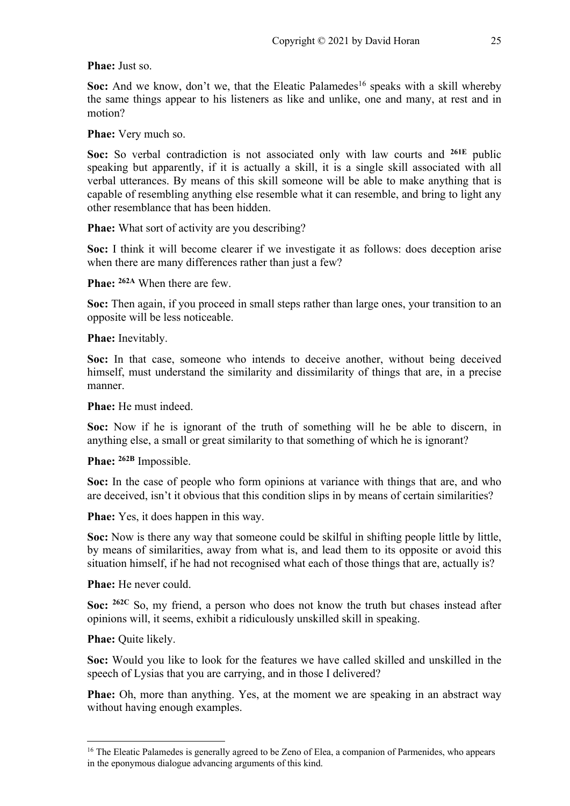#### **Phae:** Just so.

**Soc:** And we know, don't we, that the Eleatic Palamedes<sup>16</sup> speaks with a skill whereby the same things appear to his listeners as like and unlike, one and many, at rest and in motion?

**Phae:** Very much so.

**Soc:** So verbal contradiction is not associated only with law courts and **261E** public speaking but apparently, if it is actually a skill, it is a single skill associated with all verbal utterances. By means of this skill someone will be able to make anything that is capable of resembling anything else resemble what it can resemble, and bring to light any other resemblance that has been hidden.

**Phae:** What sort of activity are you describing?

**Soc:** I think it will become clearer if we investigate it as follows: does deception arise when there are many differences rather than just a few?

**Phae: 262A** When there are few.

**Soc:** Then again, if you proceed in small steps rather than large ones, your transition to an opposite will be less noticeable.

**Phae:** Inevitably.

**Soc:** In that case, someone who intends to deceive another, without being deceived himself, must understand the similarity and dissimilarity of things that are, in a precise manner.

**Phae:** He must indeed.

**Soc:** Now if he is ignorant of the truth of something will he be able to discern, in anything else, a small or great similarity to that something of which he is ignorant?

**Phae: 262B** Impossible.

**Soc:** In the case of people who form opinions at variance with things that are, and who are deceived, isn't it obvious that this condition slips in by means of certain similarities?

**Phae:** Yes, it does happen in this way.

Soc: Now is there any way that someone could be skilful in shifting people little by little, by means of similarities, away from what is, and lead them to its opposite or avoid this situation himself, if he had not recognised what each of those things that are, actually is?

**Phae:** He never could.

**Soc: 262C** So, my friend, a person who does not know the truth but chases instead after opinions will, it seems, exhibit a ridiculously unskilled skill in speaking.

**Phae:** Quite likely.

**Soc:** Would you like to look for the features we have called skilled and unskilled in the speech of Lysias that you are carrying, and in those I delivered?

**Phae:** Oh, more than anything. Yes, at the moment we are speaking in an abstract way without having enough examples.

<sup>&</sup>lt;sup>16</sup> The Eleatic Palamedes is generally agreed to be Zeno of Elea, a companion of Parmenides, who appears in the eponymous dialogue advancing arguments of this kind.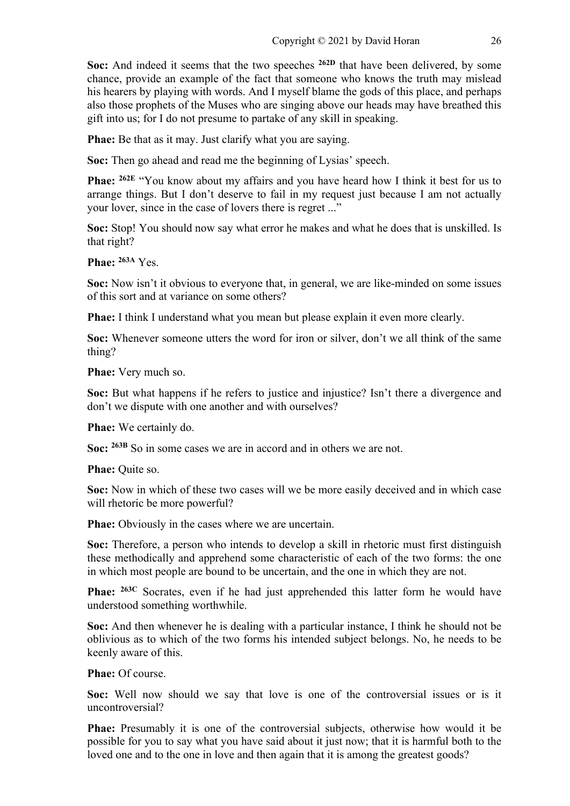**Soc:** And indeed it seems that the two speeches **262D** that have been delivered, by some chance, provide an example of the fact that someone who knows the truth may mislead his hearers by playing with words. And I myself blame the gods of this place, and perhaps also those prophets of the Muses who are singing above our heads may have breathed this gift into us; for I do not presume to partake of any skill in speaking.

**Phae:** Be that as it may. Just clarify what you are saying.

**Soc:** Then go ahead and read me the beginning of Lysias' speech.

**Phae: 262E** "You know about my affairs and you have heard how I think it best for us to arrange things. But I don't deserve to fail in my request just because I am not actually your lover, since in the case of lovers there is regret ..."

**Soc:** Stop! You should now say what error he makes and what he does that is unskilled. Is that right?

**Phae: 263A** Yes.

**Soc:** Now isn't it obvious to everyone that, in general, we are like-minded on some issues of this sort and at variance on some others?

**Phae:** I think I understand what you mean but please explain it even more clearly.

**Soc:** Whenever someone utters the word for iron or silver, don't we all think of the same thing?

**Phae:** Very much so.

**Soc:** But what happens if he refers to justice and injustice? Isn't there a divergence and don't we dispute with one another and with ourselves?

**Phae:** We certainly do.

Soc:  $^{263B}$  So in some cases we are in accord and in others we are not.

**Phae:** Ouite so.

**Soc:** Now in which of these two cases will we be more easily deceived and in which case will rhetoric be more powerful?

**Phae:** Obviously in the cases where we are uncertain.

**Soc:** Therefore, a person who intends to develop a skill in rhetoric must first distinguish these methodically and apprehend some characteristic of each of the two forms: the one in which most people are bound to be uncertain, and the one in which they are not.

**Phae:** <sup>263C</sup> Socrates, even if he had just apprehended this latter form he would have understood something worthwhile.

**Soc:** And then whenever he is dealing with a particular instance, I think he should not be oblivious as to which of the two forms his intended subject belongs. No, he needs to be keenly aware of this.

**Phae:** Of course.

**Soc:** Well now should we say that love is one of the controversial issues or is it uncontroversial?

**Phae:** Presumably it is one of the controversial subjects, otherwise how would it be possible for you to say what you have said about it just now; that it is harmful both to the loved one and to the one in love and then again that it is among the greatest goods?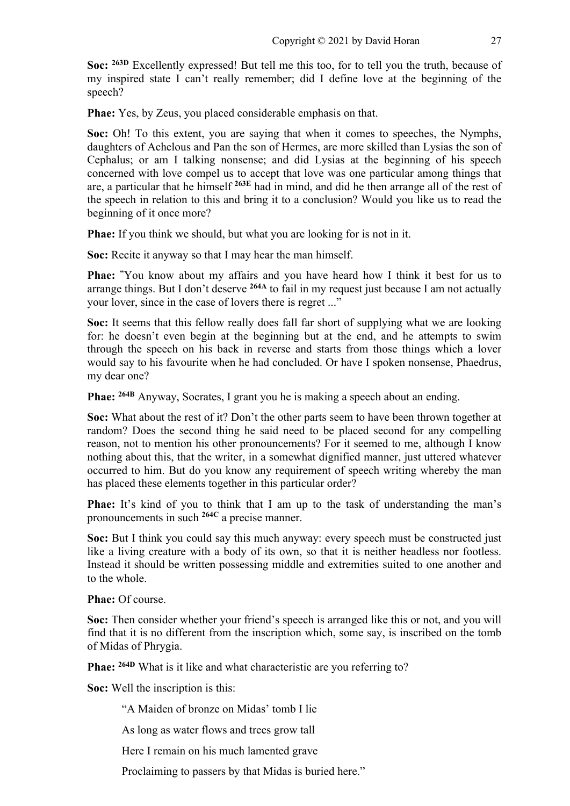**Soc:** <sup>263D</sup> Excellently expressed! But tell me this too, for to tell you the truth, because of my inspired state I can't really remember; did I define love at the beginning of the speech?

**Phae:** Yes, by Zeus, you placed considerable emphasis on that.

**Soc:** Oh! To this extent, you are saying that when it comes to speeches, the Nymphs, daughters of Achelous and Pan the son of Hermes, are more skilled than Lysias the son of Cephalus; or am I talking nonsense; and did Lysias at the beginning of his speech concerned with love compel us to accept that love was one particular among things that are, a particular that he himself **263E** had in mind, and did he then arrange all of the rest of the speech in relation to this and bring it to a conclusion? Would you like us to read the beginning of it once more?

**Phae:** If you think we should, but what you are looking for is not in it.

**Soc:** Recite it anyway so that I may hear the man himself.

**Phae: "** You know about my affairs and you have heard how I think it best for us to arrange things. But I don't deserve **264A** to fail in my request just because I am not actually your lover, since in the case of lovers there is regret ..."

**Soc:** It seems that this fellow really does fall far short of supplying what we are looking for: he doesn't even begin at the beginning but at the end, and he attempts to swim through the speech on his back in reverse and starts from those things which a lover would say to his favourite when he had concluded. Or have I spoken nonsense, Phaedrus, my dear one?

**Phae: 264B** Anyway, Socrates, I grant you he is making a speech about an ending.

**Soc:** What about the rest of it? Don't the other parts seem to have been thrown together at random? Does the second thing he said need to be placed second for any compelling reason, not to mention his other pronouncements? For it seemed to me, although I know nothing about this, that the writer, in a somewhat dignified manner, just uttered whatever occurred to him. But do you know any requirement of speech writing whereby the man has placed these elements together in this particular order?

**Phae:** It's kind of you to think that I am up to the task of understanding the man's pronouncements in such **264C** a precise manner.

**Soc:** But I think you could say this much anyway: every speech must be constructed just like a living creature with a body of its own, so that it is neither headless nor footless. Instead it should be written possessing middle and extremities suited to one another and to the whole.

**Phae:** Of course.

**Soc:** Then consider whether your friend's speech is arranged like this or not, and you will find that it is no different from the inscription which, some say, is inscribed on the tomb of Midas of Phrygia.

**Phae: 264D** What is it like and what characteristic are you referring to?

**Soc:** Well the inscription is this:

"A Maiden of bronze on Midas' tomb I lie

As long as water flows and trees grow tall

Here I remain on his much lamented grave

Proclaiming to passers by that Midas is buried here."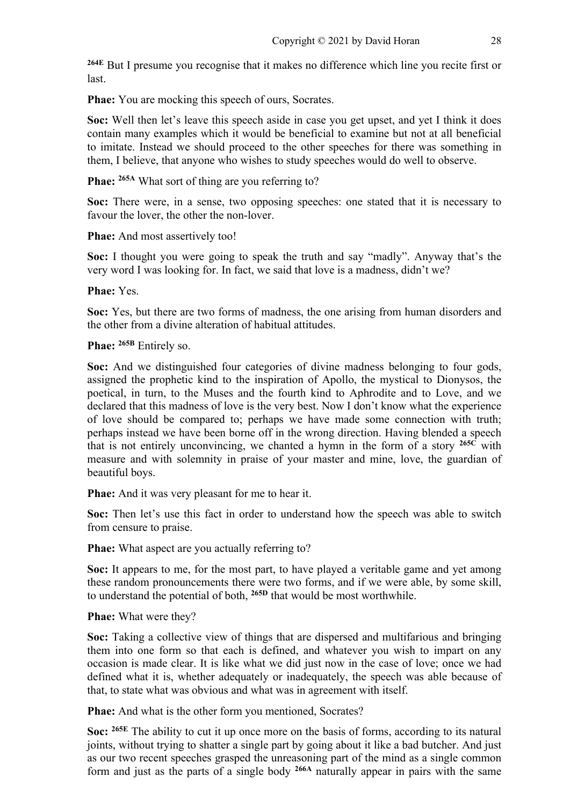**264E** But I presume you recognise that it makes no difference which line you recite first or last.

**Phae:** You are mocking this speech of ours, Socrates.

**Soc:** Well then let's leave this speech aside in case you get upset, and yet I think it does contain many examples which it would be beneficial to examine but not at all beneficial to imitate. Instead we should proceed to the other speeches for there was something in them, I believe, that anyone who wishes to study speeches would do well to observe.

Phae: <sup>265A</sup> What sort of thing are you referring to?

**Soc:** There were, in a sense, two opposing speeches: one stated that it is necessary to favour the lover, the other the non-lover.

**Phae:** And most assertively too!

**Soc:** I thought you were going to speak the truth and say "madly". Anyway that's the very word I was looking for. In fact, we said that love is a madness, didn't we?

**Phae:** Yes.

**Soc:** Yes, but there are two forms of madness, the one arising from human disorders and the other from a divine alteration of habitual attitudes.

**Phae: 265B** Entirely so.

**Soc:** And we distinguished four categories of divine madness belonging to four gods, assigned the prophetic kind to the inspiration of Apollo, the mystical to Dionysos, the poetical, in turn, to the Muses and the fourth kind to Aphrodite and to Love, and we declared that this madness of love is the very best. Now I don't know what the experience of love should be compared to; perhaps we have made some connection with truth; perhaps instead we have been borne off in the wrong direction. Having blended a speech that is not entirely unconvincing, we chanted a hymn in the form of a story **265C** with measure and with solemnity in praise of your master and mine, love, the guardian of beautiful boys.

**Phae:** And it was very pleasant for me to hear it.

**Soc:** Then let's use this fact in order to understand how the speech was able to switch from censure to praise.

**Phae:** What aspect are you actually referring to?

**Soc:** It appears to me, for the most part, to have played a veritable game and yet among these random pronouncements there were two forms, and if we were able, by some skill, to understand the potential of both, **265D** that would be most worthwhile.

**Phae:** What were they?

**Soc:** Taking a collective view of things that are dispersed and multifarious and bringing them into one form so that each is defined, and whatever you wish to impart on any occasion is made clear. It is like what we did just now in the case of love; once we had defined what it is, whether adequately or inadequately, the speech was able because of that, to state what was obvious and what was in agreement with itself.

**Phae:** And what is the other form you mentioned, Socrates?

**Soc: 265E** The ability to cut it up once more on the basis of forms, according to its natural joints, without trying to shatter a single part by going about it like a bad butcher. And just as our two recent speeches grasped the unreasoning part of the mind as a single common form and just as the parts of a single body **266A** naturally appear in pairs with the same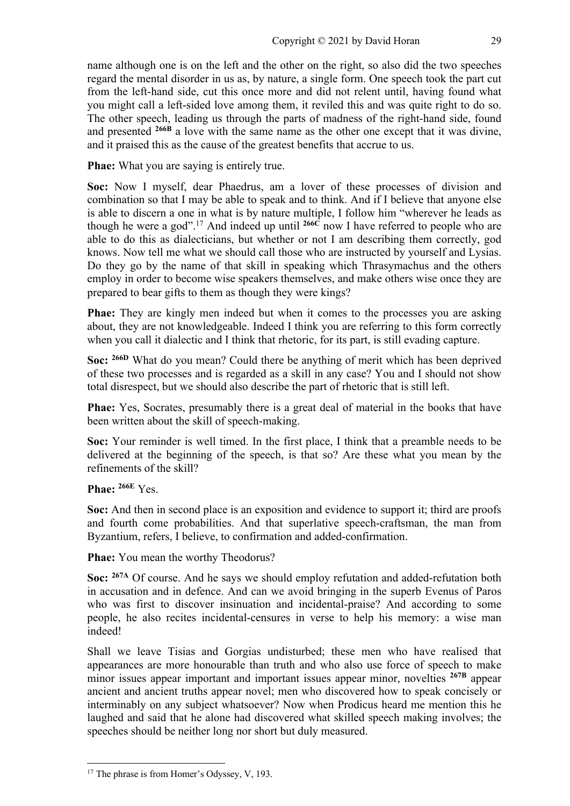name although one is on the left and the other on the right, so also did the two speeches regard the mental disorder in us as, by nature, a single form. One speech took the part cut from the left-hand side, cut this once more and did not relent until, having found what you might call a left-sided love among them, it reviled this and was quite right to do so. The other speech, leading us through the parts of madness of the right-hand side, found and presented **266B** a love with the same name as the other one except that it was divine, and it praised this as the cause of the greatest benefits that accrue to us.

**Phae:** What you are saying is entirely true.

**Soc:** Now I myself, dear Phaedrus, am a lover of these processes of division and combination so that I may be able to speak and to think. And if I believe that anyone else is able to discern a one in what is by nature multiple, I follow him "wherever he leads as though he were a god". <sup>17</sup> And indeed up until **266C** now I have referred to people who are able to do this as dialecticians, but whether or not I am describing them correctly, god knows. Now tell me what we should call those who are instructed by yourself and Lysias. Do they go by the name of that skill in speaking which Thrasymachus and the others employ in order to become wise speakers themselves, and make others wise once they are prepared to bear gifts to them as though they were kings?

**Phae:** They are kingly men indeed but when it comes to the processes you are asking about, they are not knowledgeable. Indeed I think you are referring to this form correctly when you call it dialectic and I think that rhetoric, for its part, is still evading capture.

**Soc: 266D** What do you mean? Could there be anything of merit which has been deprived of these two processes and is regarded as a skill in any case? You and I should not show total disrespect, but we should also describe the part of rhetoric that is still left.

**Phae:** Yes, Socrates, presumably there is a great deal of material in the books that have been written about the skill of speech-making.

**Soc:** Your reminder is well timed. In the first place, I think that a preamble needs to be delivered at the beginning of the speech, is that so? Are these what you mean by the refinements of the skill?

**Phae: 266E** Yes.

**Soc:** And then in second place is an exposition and evidence to support it; third are proofs and fourth come probabilities. And that superlative speech-craftsman, the man from Byzantium, refers, I believe, to confirmation and added-confirmation.

**Phae:** You mean the worthy Theodorus?

**Soc: 267A** Of course. And he says we should employ refutation and added-refutation both in accusation and in defence. And can we avoid bringing in the superb Evenus of Paros who was first to discover insinuation and incidental-praise? And according to some people, he also recites incidental-censures in verse to help his memory: a wise man indeed!

Shall we leave Tisias and Gorgias undisturbed; these men who have realised that appearances are more honourable than truth and who also use force of speech to make minor issues appear important and important issues appear minor, novelties **267B** appear ancient and ancient truths appear novel; men who discovered how to speak concisely or interminably on any subject whatsoever? Now when Prodicus heard me mention this he laughed and said that he alone had discovered what skilled speech making involves; the speeches should be neither long nor short but duly measured.

<sup>&</sup>lt;sup>17</sup> The phrase is from Homer's Odyssey, V, 193.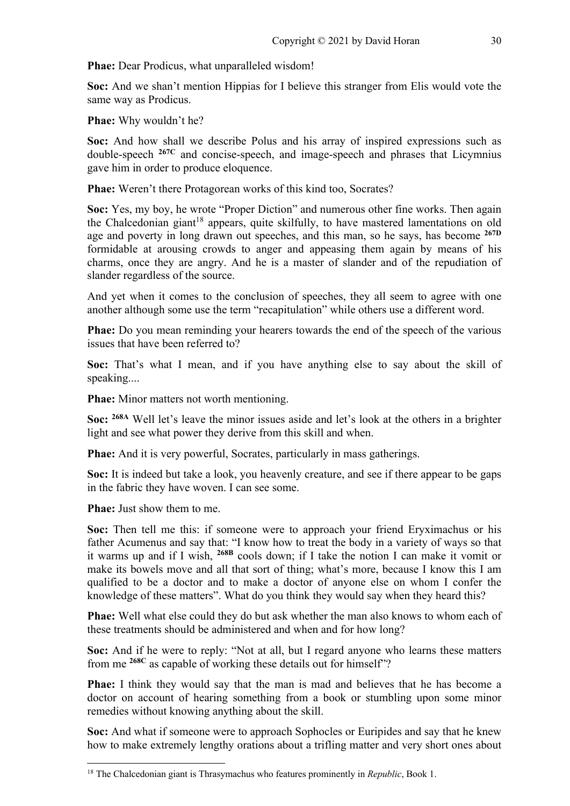**Phae:** Dear Prodicus, what unparalleled wisdom!

**Soc:** And we shan't mention Hippias for I believe this stranger from Elis would vote the same way as Prodicus.

**Phae:** Why wouldn't he?

**Soc:** And how shall we describe Polus and his array of inspired expressions such as double-speech **267C** and concise-speech, and image-speech and phrases that Licymnius gave him in order to produce eloquence.

**Phae:** Weren't there Protagorean works of this kind too, Socrates?

**Soc:** Yes, my boy, he wrote "Proper Diction" and numerous other fine works. Then again the Chalcedonian giant<sup>18</sup> appears, quite skilfully, to have mastered lamentations on old age and poverty in long drawn out speeches, and this man, so he says, has become **267D** formidable at arousing crowds to anger and appeasing them again by means of his charms, once they are angry. And he is a master of slander and of the repudiation of slander regardless of the source.

And yet when it comes to the conclusion of speeches, they all seem to agree with one another although some use the term "recapitulation" while others use a different word.

**Phae:** Do you mean reminding your hearers towards the end of the speech of the various issues that have been referred to?

**Soc:** That's what I mean, and if you have anything else to say about the skill of speaking....

**Phae:** Minor matters not worth mentioning.

**Soc: 268A** Well let's leave the minor issues aside and let's look at the others in a brighter light and see what power they derive from this skill and when.

**Phae:** And it is very powerful, Socrates, particularly in mass gatherings.

**Soc:** It is indeed but take a look, you heavenly creature, and see if there appear to be gaps in the fabric they have woven. I can see some.

**Phae:** Just show them to me.

**Soc:** Then tell me this: if someone were to approach your friend Eryximachus or his father Acumenus and say that: "I know how to treat the body in a variety of ways so that it warms up and if I wish, **268B** cools down; if I take the notion I can make it vomit or make its bowels move and all that sort of thing; what's more, because I know this I am qualified to be a doctor and to make a doctor of anyone else on whom I confer the knowledge of these matters". What do you think they would say when they heard this?

**Phae:** Well what else could they do but ask whether the man also knows to whom each of these treatments should be administered and when and for how long?

**Soc:** And if he were to reply: "Not at all, but I regard anyone who learns these matters from me **268C** as capable of working these details out for himself"?

**Phae:** I think they would say that the man is mad and believes that he has become a doctor on account of hearing something from a book or stumbling upon some minor remedies without knowing anything about the skill.

**Soc:** And what if someone were to approach Sophocles or Euripides and say that he knew how to make extremely lengthy orations about a trifling matter and very short ones about

<sup>18</sup> The Chalcedonian giant is Thrasymachus who features prominently in *Republic*, Book 1.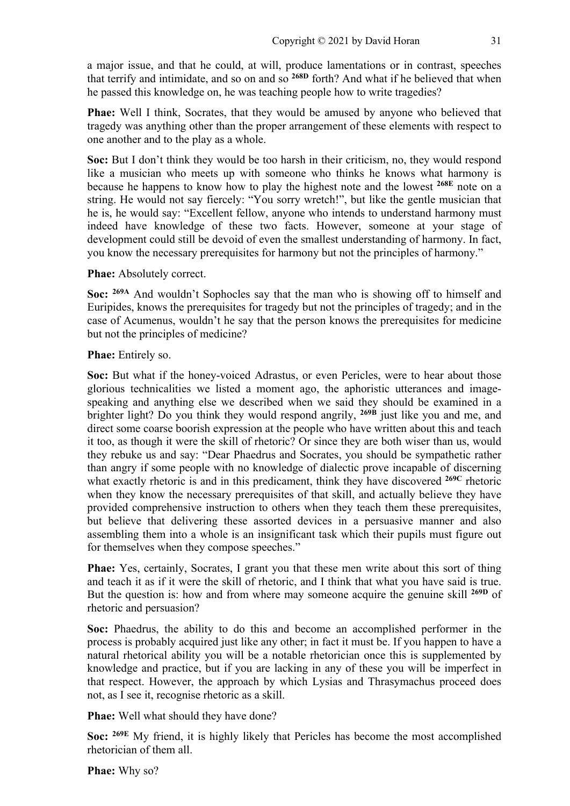a major issue, and that he could, at will, produce lamentations or in contrast, speeches that terrify and intimidate, and so on and so **268D** forth? And what if he believed that when he passed this knowledge on, he was teaching people how to write tragedies?

**Phae:** Well I think, Socrates, that they would be amused by anyone who believed that tragedy was anything other than the proper arrangement of these elements with respect to one another and to the play as a whole.

**Soc:** But I don't think they would be too harsh in their criticism, no, they would respond like a musician who meets up with someone who thinks he knows what harmony is because he happens to know how to play the highest note and the lowest **268E** note on a string. He would not say fiercely: "You sorry wretch!", but like the gentle musician that he is, he would say: "Excellent fellow, anyone who intends to understand harmony must indeed have knowledge of these two facts. However, someone at your stage of development could still be devoid of even the smallest understanding of harmony. In fact, you know the necessary prerequisites for harmony but not the principles of harmony."

**Phae:** Absolutely correct.

**Soc: 269A** And wouldn't Sophocles say that the man who is showing off to himself and Euripides, knows the prerequisites for tragedy but not the principles of tragedy; and in the case of Acumenus, wouldn't he say that the person knows the prerequisites for medicine but not the principles of medicine?

**Phae:** Entirely so.

**Soc:** But what if the honey-voiced Adrastus, or even Pericles, were to hear about those glorious technicalities we listed a moment ago, the aphoristic utterances and imagespeaking and anything else we described when we said they should be examined in a brighter light? Do you think they would respond angrily, **269B** just like you and me, and direct some coarse boorish expression at the people who have written about this and teach it too, as though it were the skill of rhetoric? Or since they are both wiser than us, would they rebuke us and say: "Dear Phaedrus and Socrates, you should be sympathetic rather than angry if some people with no knowledge of dialectic prove incapable of discerning what exactly rhetoric is and in this predicament, think they have discovered **269C** rhetoric when they know the necessary prerequisites of that skill, and actually believe they have provided comprehensive instruction to others when they teach them these prerequisites, but believe that delivering these assorted devices in a persuasive manner and also assembling them into a whole is an insignificant task which their pupils must figure out for themselves when they compose speeches."

**Phae:** Yes, certainly, Socrates, I grant you that these men write about this sort of thing and teach it as if it were the skill of rhetoric, and I think that what you have said is true. But the question is: how and from where may someone acquire the genuine skill **269D** of rhetoric and persuasion?

**Soc:** Phaedrus, the ability to do this and become an accomplished performer in the process is probably acquired just like any other; in fact it must be. If you happen to have a natural rhetorical ability you will be a notable rhetorician once this is supplemented by knowledge and practice, but if you are lacking in any of these you will be imperfect in that respect. However, the approach by which Lysias and Thrasymachus proceed does not, as I see it, recognise rhetoric as a skill.

**Phae:** Well what should they have done?

**Soc: 269E** My friend, it is highly likely that Pericles has become the most accomplished rhetorician of them all.

**Phae:** Why so?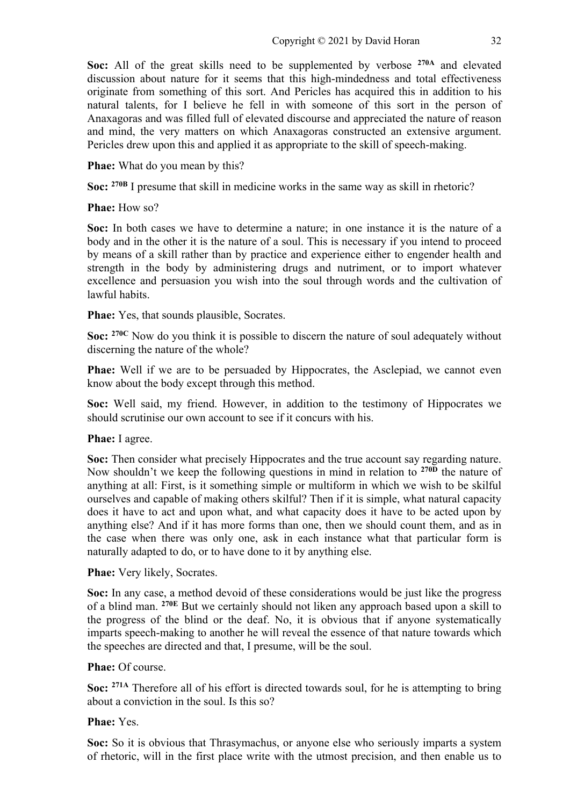**Soc:** All of the great skills need to be supplemented by verbose **270A** and elevated discussion about nature for it seems that this high-mindedness and total effectiveness originate from something of this sort. And Pericles has acquired this in addition to his natural talents, for I believe he fell in with someone of this sort in the person of Anaxagoras and was filled full of elevated discourse and appreciated the nature of reason and mind, the very matters on which Anaxagoras constructed an extensive argument. Pericles drew upon this and applied it as appropriate to the skill of speech-making.

**Phae:** What do you mean by this?

**Soc: 270B** I presume that skill in medicine works in the same way as skill in rhetoric?

#### **Phae:** How so?

**Soc:** In both cases we have to determine a nature; in one instance it is the nature of a body and in the other it is the nature of a soul. This is necessary if you intend to proceed by means of a skill rather than by practice and experience either to engender health and strength in the body by administering drugs and nutriment, or to import whatever excellence and persuasion you wish into the soul through words and the cultivation of lawful habits.

**Phae:** Yes, that sounds plausible, Socrates.

**Soc:** <sup>270C</sup> Now do you think it is possible to discern the nature of soul adequately without discerning the nature of the whole?

**Phae:** Well if we are to be persuaded by Hippocrates, the Asclepiad, we cannot even know about the body except through this method.

**Soc:** Well said, my friend. However, in addition to the testimony of Hippocrates we should scrutinise our own account to see if it concurs with his.

# **Phae:** I agree.

**Soc:** Then consider what precisely Hippocrates and the true account say regarding nature. Now shouldn't we keep the following questions in mind in relation to **270D** the nature of anything at all: First, is it something simple or multiform in which we wish to be skilful ourselves and capable of making others skilful? Then if it is simple, what natural capacity does it have to act and upon what, and what capacity does it have to be acted upon by anything else? And if it has more forms than one, then we should count them, and as in the case when there was only one, ask in each instance what that particular form is naturally adapted to do, or to have done to it by anything else.

#### **Phae:** Very likely, Socrates.

**Soc:** In any case, a method devoid of these considerations would be just like the progress of a blind man. **270E** But we certainly should not liken any approach based upon a skill to the progress of the blind or the deaf. No, it is obvious that if anyone systematically imparts speech-making to another he will reveal the essence of that nature towards which the speeches are directed and that, I presume, will be the soul.

#### **Phae:** Of course.

**Soc: 271A** Therefore all of his effort is directed towards soul, for he is attempting to bring about a conviction in the soul. Is this so?

# **Phae:** Yes.

**Soc:** So it is obvious that Thrasymachus, or anyone else who seriously imparts a system of rhetoric, will in the first place write with the utmost precision, and then enable us to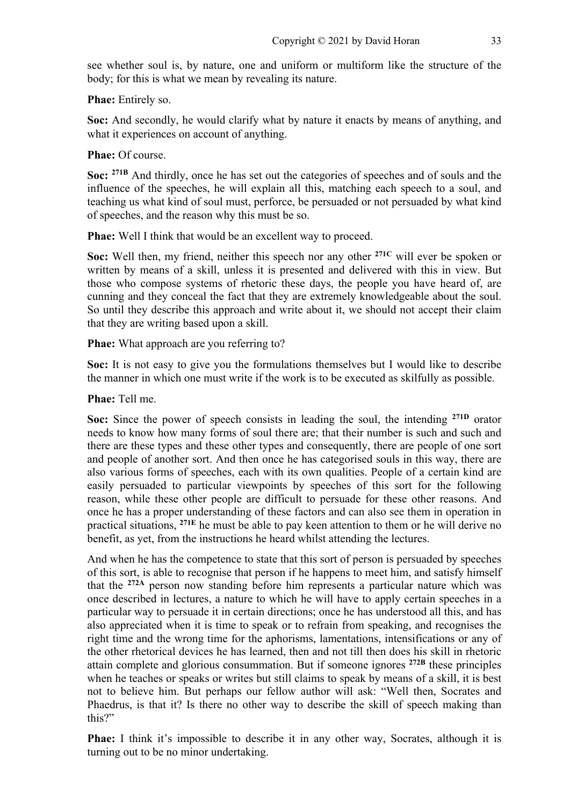see whether soul is, by nature, one and uniform or multiform like the structure of the body; for this is what we mean by revealing its nature.

**Phae:** Entirely so.

**Soc:** And secondly, he would clarify what by nature it enacts by means of anything, and what it experiences on account of anything.

**Phae:** Of course.

**Soc: 271B** And thirdly, once he has set out the categories of speeches and of souls and the influence of the speeches, he will explain all this, matching each speech to a soul, and teaching us what kind of soul must, perforce, be persuaded or not persuaded by what kind of speeches, and the reason why this must be so.

**Phae:** Well I think that would be an excellent way to proceed.

**Soc:** Well then, my friend, neither this speech nor any other **271C** will ever be spoken or written by means of a skill, unless it is presented and delivered with this in view. But those who compose systems of rhetoric these days, the people you have heard of, are cunning and they conceal the fact that they are extremely knowledgeable about the soul. So until they describe this approach and write about it, we should not accept their claim that they are writing based upon a skill.

**Phae:** What approach are you referring to?

**Soc:** It is not easy to give you the formulations themselves but I would like to describe the manner in which one must write if the work is to be executed as skilfully as possible.

**Phae:** Tell me.

**Soc:** Since the power of speech consists in leading the soul, the intending **271D** orator needs to know how many forms of soul there are; that their number is such and such and there are these types and these other types and consequently, there are people of one sort and people of another sort. And then once he has categorised souls in this way, there are also various forms of speeches, each with its own qualities. People of a certain kind are easily persuaded to particular viewpoints by speeches of this sort for the following reason, while these other people are difficult to persuade for these other reasons. And once he has a proper understanding of these factors and can also see them in operation in practical situations, **271E** he must be able to pay keen attention to them or he will derive no benefit, as yet, from the instructions he heard whilst attending the lectures.

And when he has the competence to state that this sort of person is persuaded by speeches of this sort, is able to recognise that person if he happens to meet him, and satisfy himself that the **272A** person now standing before him represents a particular nature which was once described in lectures, a nature to which he will have to apply certain speeches in a particular way to persuade it in certain directions; once he has understood all this, and has also appreciated when it is time to speak or to refrain from speaking, and recognises the right time and the wrong time for the aphorisms, lamentations, intensifications or any of the other rhetorical devices he has learned, then and not till then does his skill in rhetoric attain complete and glorious consummation. But if someone ignores **272B** these principles when he teaches or speaks or writes but still claims to speak by means of a skill, it is best not to believe him. But perhaps our fellow author will ask: "Well then, Socrates and Phaedrus, is that it? Is there no other way to describe the skill of speech making than this?"

**Phae:** I think it's impossible to describe it in any other way, Socrates, although it is turning out to be no minor undertaking.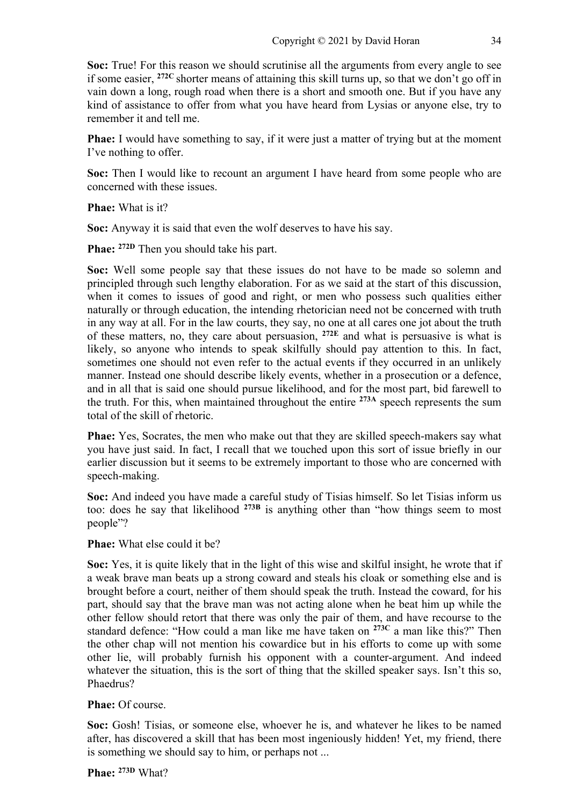**Soc:** True! For this reason we should scrutinise all the arguments from every angle to see if some easier, **272C** shorter means of attaining this skill turns up, so that we don't go off in vain down a long, rough road when there is a short and smooth one. But if you have any kind of assistance to offer from what you have heard from Lysias or anyone else, try to remember it and tell me.

**Phae:** I would have something to say, if it were just a matter of trying but at the moment I've nothing to offer.

**Soc:** Then I would like to recount an argument I have heard from some people who are concerned with these issues.

**Phae:** What is it?

**Soc:** Anyway it is said that even the wolf deserves to have his say.

**Phae:** <sup>272D</sup> Then you should take his part.

**Soc:** Well some people say that these issues do not have to be made so solemn and principled through such lengthy elaboration. For as we said at the start of this discussion, when it comes to issues of good and right, or men who possess such qualities either naturally or through education, the intending rhetorician need not be concerned with truth in any way at all. For in the law courts, they say, no one at all cares one jot about the truth of these matters, no, they care about persuasion, **272E** and what is persuasive is what is likely, so anyone who intends to speak skilfully should pay attention to this. In fact, sometimes one should not even refer to the actual events if they occurred in an unlikely manner. Instead one should describe likely events, whether in a prosecution or a defence, and in all that is said one should pursue likelihood, and for the most part, bid farewell to the truth. For this, when maintained throughout the entire **273A** speech represents the sum total of the skill of rhetoric.

**Phae:** Yes, Socrates, the men who make out that they are skilled speech-makers say what you have just said. In fact, I recall that we touched upon this sort of issue briefly in our earlier discussion but it seems to be extremely important to those who are concerned with speech-making.

**Soc:** And indeed you have made a careful study of Tisias himself. So let Tisias inform us too: does he say that likelihood **273B** is anything other than "how things seem to most people"?

**Phae:** What else could it be?

**Soc:** Yes, it is quite likely that in the light of this wise and skilful insight, he wrote that if a weak brave man beats up a strong coward and steals his cloak or something else and is brought before a court, neither of them should speak the truth. Instead the coward, for his part, should say that the brave man was not acting alone when he beat him up while the other fellow should retort that there was only the pair of them, and have recourse to the standard defence: "How could a man like me have taken on **273C** a man like this?" Then the other chap will not mention his cowardice but in his efforts to come up with some other lie, will probably furnish his opponent with a counter-argument. And indeed whatever the situation, this is the sort of thing that the skilled speaker says. Isn't this so, Phaedrus?

# **Phae:** Of course.

**Soc:** Gosh! Tisias, or someone else, whoever he is, and whatever he likes to be named after, has discovered a skill that has been most ingeniously hidden! Yet, my friend, there is something we should say to him, or perhaps not ...

**Phae: 273D** What?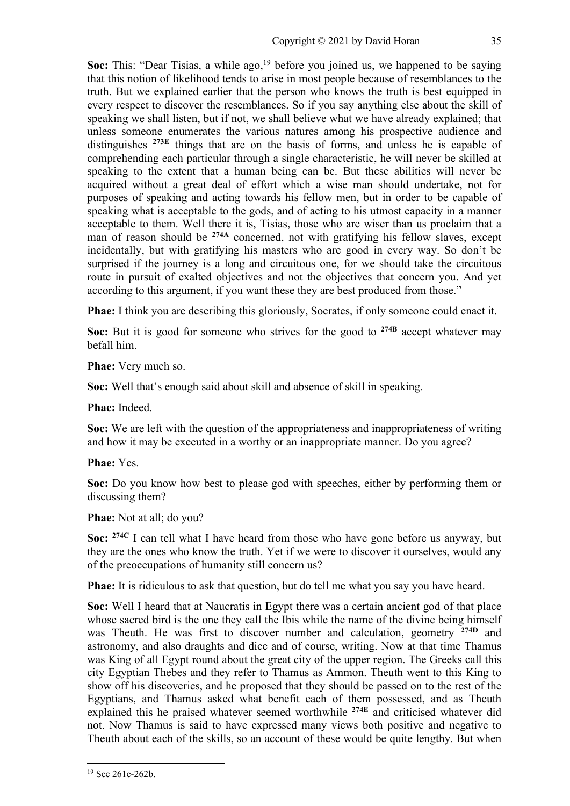**Soc:** This: "Dear Tisias, a while ago,<sup>19</sup> before you joined us, we happened to be saying that this notion of likelihood tends to arise in most people because of resemblances to the truth. But we explained earlier that the person who knows the truth is best equipped in every respect to discover the resemblances. So if you say anything else about the skill of speaking we shall listen, but if not, we shall believe what we have already explained; that unless someone enumerates the various natures among his prospective audience and distinguishes **273E** things that are on the basis of forms, and unless he is capable of comprehending each particular through a single characteristic, he will never be skilled at speaking to the extent that a human being can be. But these abilities will never be acquired without a great deal of effort which a wise man should undertake, not for purposes of speaking and acting towards his fellow men, but in order to be capable of speaking what is acceptable to the gods, and of acting to his utmost capacity in a manner acceptable to them. Well there it is, Tisias, those who are wiser than us proclaim that a man of reason should be **274A** concerned, not with gratifying his fellow slaves, except incidentally, but with gratifying his masters who are good in every way. So don't be surprised if the journey is a long and circuitous one, for we should take the circuitous route in pursuit of exalted objectives and not the objectives that concern you. And yet according to this argument, if you want these they are best produced from those."

**Phae:** I think you are describing this gloriously, Socrates, if only someone could enact it.

**Soc:** But it is good for someone who strives for the good to **274B** accept whatever may befall him.

**Phae:** Very much so.

**Soc:** Well that's enough said about skill and absence of skill in speaking.

**Phae:** Indeed.

**Soc:** We are left with the question of the appropriateness and inappropriateness of writing and how it may be executed in a worthy or an inappropriate manner. Do you agree?

**Phae:** Yes.

**Soc:** Do you know how best to please god with speeches, either by performing them or discussing them?

**Phae:** Not at all; do you?

**Soc: 274C** I can tell what I have heard from those who have gone before us anyway, but they are the ones who know the truth. Yet if we were to discover it ourselves, would any of the preoccupations of humanity still concern us?

**Phae:** It is ridiculous to ask that question, but do tell me what you say you have heard.

**Soc:** Well I heard that at Naucratis in Egypt there was a certain ancient god of that place whose sacred bird is the one they call the Ibis while the name of the divine being himself was Theuth. He was first to discover number and calculation, geometry **274D** and astronomy, and also draughts and dice and of course, writing. Now at that time Thamus was King of all Egypt round about the great city of the upper region. The Greeks call this city Egyptian Thebes and they refer to Thamus as Ammon. Theuth went to this King to show off his discoveries, and he proposed that they should be passed on to the rest of the Egyptians, and Thamus asked what benefit each of them possessed, and as Theuth explained this he praised whatever seemed worthwhile **274E** and criticised whatever did not. Now Thamus is said to have expressed many views both positive and negative to Theuth about each of the skills, so an account of these would be quite lengthy. But when

<sup>19</sup> See 261e-262b.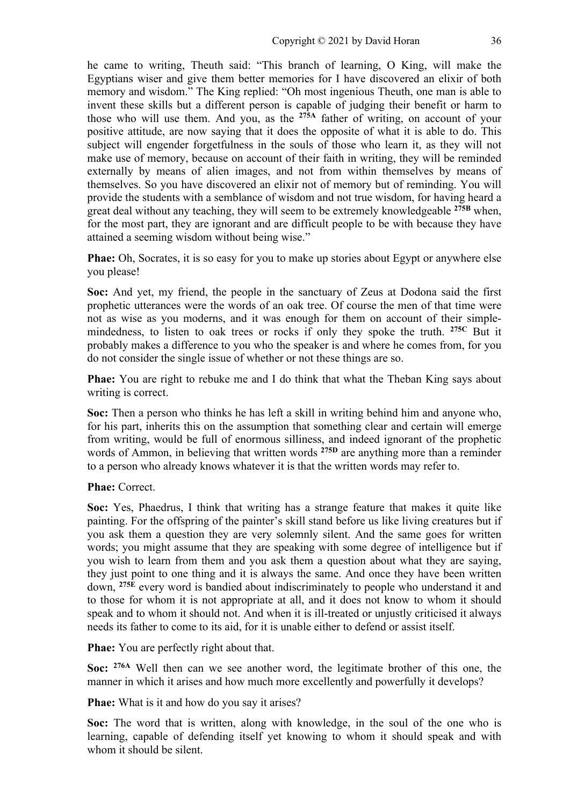he came to writing, Theuth said: "This branch of learning, O King, will make the Egyptians wiser and give them better memories for I have discovered an elixir of both memory and wisdom." The King replied: "Oh most ingenious Theuth, one man is able to invent these skills but a different person is capable of judging their benefit or harm to those who will use them. And you, as the **275A** father of writing, on account of your positive attitude, are now saying that it does the opposite of what it is able to do. This subject will engender forgetfulness in the souls of those who learn it, as they will not make use of memory, because on account of their faith in writing, they will be reminded externally by means of alien images, and not from within themselves by means of themselves. So you have discovered an elixir not of memory but of reminding. You will provide the students with a semblance of wisdom and not true wisdom, for having heard a great deal without any teaching, they will seem to be extremely knowledgeable **275B** when, for the most part, they are ignorant and are difficult people to be with because they have attained a seeming wisdom without being wise."

**Phae:** Oh, Socrates, it is so easy for you to make up stories about Egypt or anywhere else you please!

**Soc:** And yet, my friend, the people in the sanctuary of Zeus at Dodona said the first prophetic utterances were the words of an oak tree. Of course the men of that time were not as wise as you moderns, and it was enough for them on account of their simplemindedness, to listen to oak trees or rocks if only they spoke the truth. **275C** But it probably makes a difference to you who the speaker is and where he comes from, for you do not consider the single issue of whether or not these things are so.

**Phae:** You are right to rebuke me and I do think that what the Theban King says about writing is correct.

**Soc:** Then a person who thinks he has left a skill in writing behind him and anyone who, for his part, inherits this on the assumption that something clear and certain will emerge from writing, would be full of enormous silliness, and indeed ignorant of the prophetic words of Ammon, in believing that written words **275D** are anything more than a reminder to a person who already knows whatever it is that the written words may refer to.

**Phae:** Correct.

**Soc:** Yes, Phaedrus, I think that writing has a strange feature that makes it quite like painting. For the offspring of the painter's skill stand before us like living creatures but if you ask them a question they are very solemnly silent. And the same goes for written words; you might assume that they are speaking with some degree of intelligence but if you wish to learn from them and you ask them a question about what they are saying, they just point to one thing and it is always the same. And once they have been written down, **275E** every word is bandied about indiscriminately to people who understand it and to those for whom it is not appropriate at all, and it does not know to whom it should speak and to whom it should not. And when it is ill-treated or unjustly criticised it always needs its father to come to its aid, for it is unable either to defend or assist itself.

**Phae:** You are perfectly right about that.

**Soc: 276A** Well then can we see another word, the legitimate brother of this one, the manner in which it arises and how much more excellently and powerfully it develops?

**Phae:** What is it and how do you say it arises?

**Soc:** The word that is written, along with knowledge, in the soul of the one who is learning, capable of defending itself yet knowing to whom it should speak and with whom it should be silent.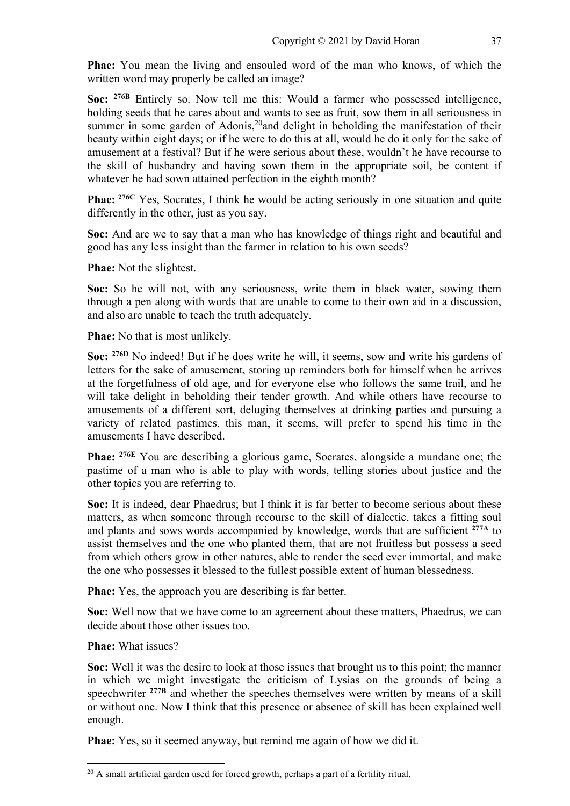**Phae:** You mean the living and ensouled word of the man who knows, of which the written word may properly be called an image?

**Soc: 276B** Entirely so. Now tell me this: Would a farmer who possessed intelligence, holding seeds that he cares about and wants to see as fruit, sow them in all seriousness in summer in some garden of Adonis,<sup>20</sup>and delight in beholding the manifestation of their beauty within eight days; or if he were to do this at all, would he do it only for the sake of amusement at a festival? But if he were serious about these, wouldn't he have recourse to the skill of husbandry and having sown them in the appropriate soil, be content if whatever he had sown attained perfection in the eighth month?

**Phae: 276C** Yes, Socrates, I think he would be acting seriously in one situation and quite differently in the other, just as you say.

**Soc:** And are we to say that a man who has knowledge of things right and beautiful and good has any less insight than the farmer in relation to his own seeds?

**Phae:** Not the slightest.

**Soc:** So he will not, with any seriousness, write them in black water, sowing them through a pen along with words that are unable to come to their own aid in a discussion, and also are unable to teach the truth adequately.

**Phae:** No that is most unlikely.

**Soc: 276D** No indeed! But if he does write he will, it seems, sow and write his gardens of letters for the sake of amusement, storing up reminders both for himself when he arrives at the forgetfulness of old age, and for everyone else who follows the same trail, and he will take delight in beholding their tender growth. And while others have recourse to amusements of a different sort, deluging themselves at drinking parties and pursuing a variety of related pastimes, this man, it seems, will prefer to spend his time in the amusements I have described.

**Phae: 276E** You are describing a glorious game, Socrates, alongside a mundane one; the pastime of a man who is able to play with words, telling stories about justice and the other topics you are referring to.

**Soc:** It is indeed, dear Phaedrus; but I think it is far better to become serious about these matters, as when someone through recourse to the skill of dialectic, takes a fitting soul and plants and sows words accompanied by knowledge, words that are sufficient **277A** to assist themselves and the one who planted them, that are not fruitless but possess a seed from which others grow in other natures, able to render the seed ever immortal, and make the one who possesses it blessed to the fullest possible extent of human blessedness.

**Phae:** Yes, the approach you are describing is far better.

**Soc:** Well now that we have come to an agreement about these matters, Phaedrus, we can decide about those other issues too.

**Phae:** What issues?

**Soc:** Well it was the desire to look at those issues that brought us to this point; the manner in which we might investigate the criticism of Lysias on the grounds of being a speechwriter <sup>277B</sup> and whether the speeches themselves were written by means of a skill or without one. Now I think that this presence or absence of skill has been explained well enough.

**Phae:** Yes, so it seemed anyway, but remind me again of how we did it.

 $20$  A small artificial garden used for forced growth, perhaps a part of a fertility ritual.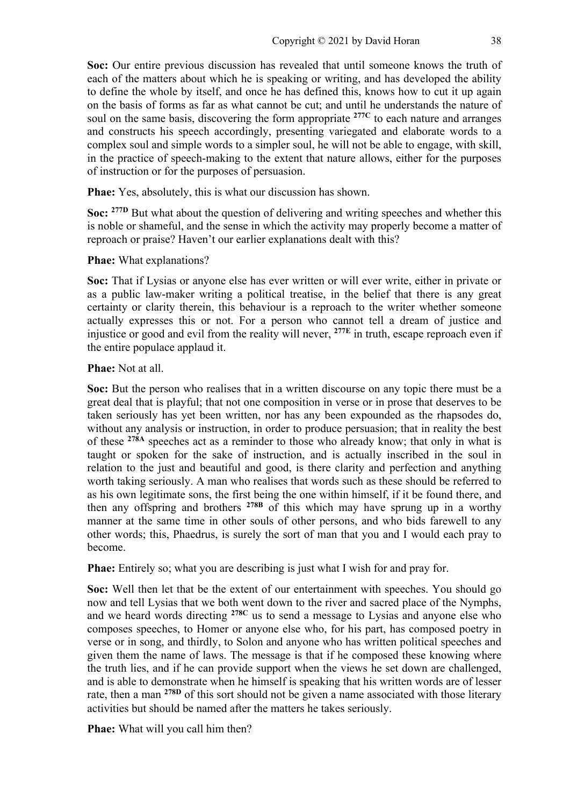**Soc:** Our entire previous discussion has revealed that until someone knows the truth of each of the matters about which he is speaking or writing, and has developed the ability to define the whole by itself, and once he has defined this, knows how to cut it up again on the basis of forms as far as what cannot be cut; and until he understands the nature of soul on the same basis, discovering the form appropriate **277C** to each nature and arranges and constructs his speech accordingly, presenting variegated and elaborate words to a complex soul and simple words to a simpler soul, he will not be able to engage, with skill, in the practice of speech-making to the extent that nature allows, either for the purposes of instruction or for the purposes of persuasion.

**Phae:** Yes, absolutely, this is what our discussion has shown.

**Soc: 277D** But what about the question of delivering and writing speeches and whether this is noble or shameful, and the sense in which the activity may properly become a matter of reproach or praise? Haven't our earlier explanations dealt with this?

**Phae:** What explanations?

**Soc:** That if Lysias or anyone else has ever written or will ever write, either in private or as a public law-maker writing a political treatise, in the belief that there is any great certainty or clarity therein, this behaviour is a reproach to the writer whether someone actually expresses this or not. For a person who cannot tell a dream of justice and injustice or good and evil from the reality will never, **277E** in truth, escape reproach even if the entire populace applaud it.

**Phae:** Not at all.

**Soc:** But the person who realises that in a written discourse on any topic there must be a great deal that is playful; that not one composition in verse or in prose that deserves to be taken seriously has yet been written, nor has any been expounded as the rhapsodes do, without any analysis or instruction, in order to produce persuasion; that in reality the best of these **278A** speeches act as a reminder to those who already know; that only in what is taught or spoken for the sake of instruction, and is actually inscribed in the soul in relation to the just and beautiful and good, is there clarity and perfection and anything worth taking seriously. A man who realises that words such as these should be referred to as his own legitimate sons, the first being the one within himself, if it be found there, and then any offspring and brothers **278B** of this which may have sprung up in a worthy manner at the same time in other souls of other persons, and who bids farewell to any other words; this, Phaedrus, is surely the sort of man that you and I would each pray to become.

**Phae:** Entirely so; what you are describing is just what I wish for and pray for.

**Soc:** Well then let that be the extent of our entertainment with speeches. You should go now and tell Lysias that we both went down to the river and sacred place of the Nymphs, and we heard words directing **278C** us to send a message to Lysias and anyone else who composes speeches, to Homer or anyone else who, for his part, has composed poetry in verse or in song, and thirdly, to Solon and anyone who has written political speeches and given them the name of laws. The message is that if he composed these knowing where the truth lies, and if he can provide support when the views he set down are challenged, and is able to demonstrate when he himself is speaking that his written words are of lesser rate, then a man **278D** of this sort should not be given a name associated with those literary activities but should be named after the matters he takes seriously.

**Phae:** What will you call him then?